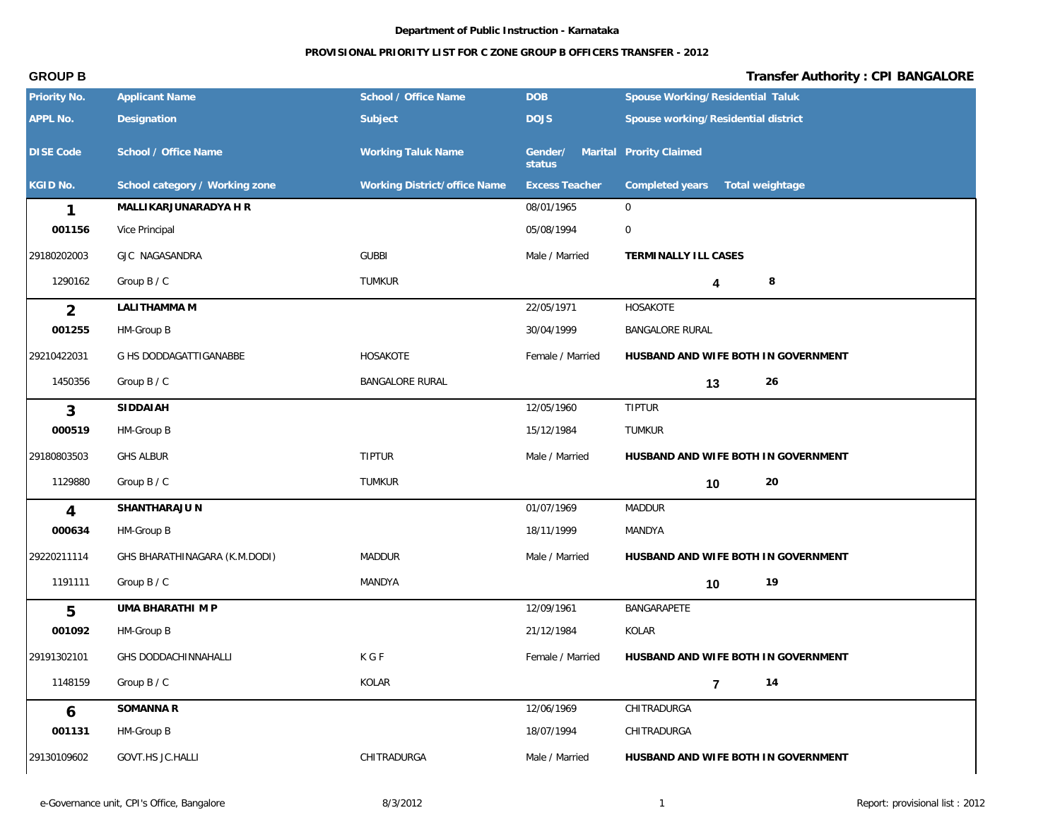## **PROVISIONAL PRIORITY LIST FOR C ZONE GROUP B OFFICERS TRANSFER - 2012**

| Priority No.     | <b>Applicant Name</b>          | School / Office Name         | <b>DOB</b>            | Spouse Working/Residential Taluk    |
|------------------|--------------------------------|------------------------------|-----------------------|-------------------------------------|
| APPL No.         | Designation                    | Subject                      | <b>DOJS</b>           | Spouse working/Residential district |
| <b>DISE Code</b> | School / Office Name           | <b>Working Taluk Name</b>    | Gender/<br>status     | Marital Prority Claimed             |
| KGID No.         | School category / Working zone | Working District/office Name | <b>Excess Teacher</b> | Completed years<br>Total weightage  |
| 1                | MALLIKARJUNARADYA H R          |                              | 08/01/1965            | $\mathbf 0$                         |
| 001156           | Vice Principal                 |                              | 05/08/1994            | $\boldsymbol{0}$                    |
| 29180202003      | GJC NAGASANDRA                 | <b>GUBBI</b>                 | Male / Married        | TERMINALLY ILL CASES                |
| 1290162          | Group B / C                    | TUMKUR                       |                       | 8<br>4                              |
| $\overline{2}$   | LALITHAMMA M                   |                              | 22/05/1971            | HOSAKOTE                            |
| 001255           | HM-Group B                     |                              | 30/04/1999            | <b>BANGALORE RURAL</b>              |
| 29210422031      | G HS DODDAGATTIGANABBE         | HOSAKOTE                     | Female / Married      | HUSBAND AND WIFE BOTH IN GOVERNMENT |
| 1450356          | Group B / C                    | <b>BANGALORE RURAL</b>       |                       | 26<br>13                            |
| 3                | SIDDAIAH                       |                              | 12/05/1960            | <b>TIPTUR</b>                       |
| 000519           | HM-Group B                     |                              | 15/12/1984            | TUMKUR                              |
| 29180803503      | <b>GHS ALBUR</b>               | <b>TIPTUR</b>                | Male / Married        | HUSBAND AND WIFE BOTH IN GOVERNMENT |
| 1129880          | Group B / C                    | TUMKUR                       |                       | 20<br>10                            |
| 4                | SHANTHARAJU N                  |                              | 01/07/1969            | <b>MADDUR</b>                       |
| 000634           | HM-Group B                     |                              | 18/11/1999            | MANDYA                              |
| 29220211114      | GHS BHARATHINAGARA (K.M.DODI)  | <b>MADDUR</b>                | Male / Married        | HUSBAND AND WIFE BOTH IN GOVERNMENT |
| 1191111          | Group B / C                    | MANDYA                       |                       | 19<br>10                            |
| 5                | UMA BHARATHI M P               |                              | 12/09/1961            | BANGARAPETE                         |
| 001092           | HM-Group B                     |                              | 21/12/1984            | KOLAR                               |
| 29191302101      | GHS DODDACHINNAHALLI           | K G F                        | Female / Married      | HUSBAND AND WIFE BOTH IN GOVERNMENT |
| 1148159          | Group B / C                    | KOLAR                        |                       | 14<br>$\overline{7}$                |
| 6                | SOMANNA R                      |                              | 12/06/1969            | CHITRADURGA                         |
| 001131           | HM-Group B                     |                              | 18/07/1994            | CHITRADURGA                         |
| 29130109602      | GOVT.HS JC.HALLI               | CHITRADURGA                  | Male / Married        | HUSBAND AND WIFE BOTH IN GOVERNMENT |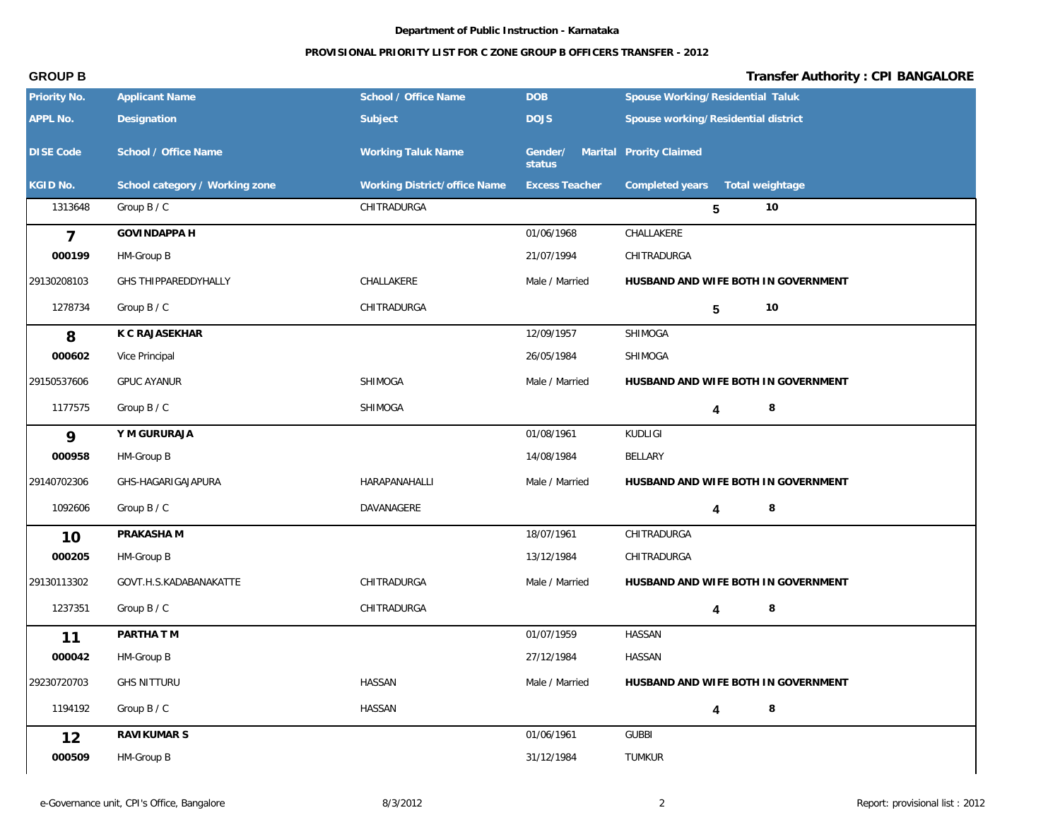### **PROVISIONAL PRIORITY LIST FOR C ZONE GROUP B OFFICERS TRANSFER - 2012**

| Priority No.     | <b>Applicant Name</b>          | School / Office Name         | <b>DOB</b>            | Spouse Working/Residential Taluk    |
|------------------|--------------------------------|------------------------------|-----------------------|-------------------------------------|
| APPL No.         | Designation                    | Subject                      | <b>DOJS</b>           | Spouse working/Residential district |
| <b>DISE Code</b> | School / Office Name           | <b>Working Taluk Name</b>    | Gender/<br>status     | Marital Prority Claimed             |
| KGID No.         | School category / Working zone | Working District/office Name | <b>Excess Teacher</b> | Completed years<br>Total weightage  |
| 1313648          | Group B / C                    | CHITRADURGA                  |                       | 10<br>5                             |
| $\overline{7}$   | <b>GOVINDAPPA H</b>            |                              | 01/06/1968            | CHALLAKERE                          |
| 000199           | HM-Group B                     |                              | 21/07/1994            | CHITRADURGA                         |
| 29130208103      | GHS THIPPAREDDYHALLY           | CHALLAKERE                   | Male / Married        | HUSBAND AND WIFE BOTH IN GOVERNMENT |
| 1278734          | Group B / C                    | CHITRADURGA                  |                       | 10<br>5                             |
| 8                | K C RAJASEKHAR                 |                              | 12/09/1957            | SHIMOGA                             |
| 000602           | Vice Principal                 |                              | 26/05/1984            | SHIMOGA                             |
| 29150537606      | <b>GPUC AYANUR</b>             | SHIMOGA                      | Male / Married        | HUSBAND AND WIFE BOTH IN GOVERNMENT |
| 1177575          | Group B / C                    | SHIMOGA                      |                       | 8<br>4                              |
| 9                | Y M GURURAJA                   |                              | 01/08/1961            | <b>KUDLIGI</b>                      |
| 000958           | HM-Group B                     |                              | 14/08/1984            | BELLARY                             |
| 29140702306      | GHS-HAGARIGAJAPURA             | HARAPANAHALLI                | Male / Married        | HUSBAND AND WIFE BOTH IN GOVERNMENT |
| 1092606          | Group B / C                    | DAVANAGERE                   |                       | 8<br>4                              |
| 10               | PRAKASHA M                     |                              | 18/07/1961            | CHITRADURGA                         |
| 000205           | HM-Group B                     |                              | 13/12/1984            | CHITRADURGA                         |
| 29130113302      | GOVT.H.S.KADABANAKATTE         | CHITRADURGA                  | Male / Married        | HUSBAND AND WIFE BOTH IN GOVERNMENT |
| 1237351          | Group B / C                    | CHITRADURGA                  |                       | 8<br>4                              |
| 11               | PARTHA T M                     |                              | 01/07/1959            | HASSAN                              |
| 000042           | HM-Group B                     |                              | 27/12/1984            | HASSAN                              |
| 29230720703      | <b>GHS NITTURU</b>             | <b>HASSAN</b>                | Male / Married        | HUSBAND AND WIFE BOTH IN GOVERNMENT |
| 1194192          | Group B / C                    | <b>HASSAN</b>                |                       | $\,8\,$<br>4                        |
| 12               | RAVIKUMAR S                    |                              | 01/06/1961            | <b>GUBBI</b>                        |
| 000509           | HM-Group B                     |                              | 31/12/1984            | TUMKUR                              |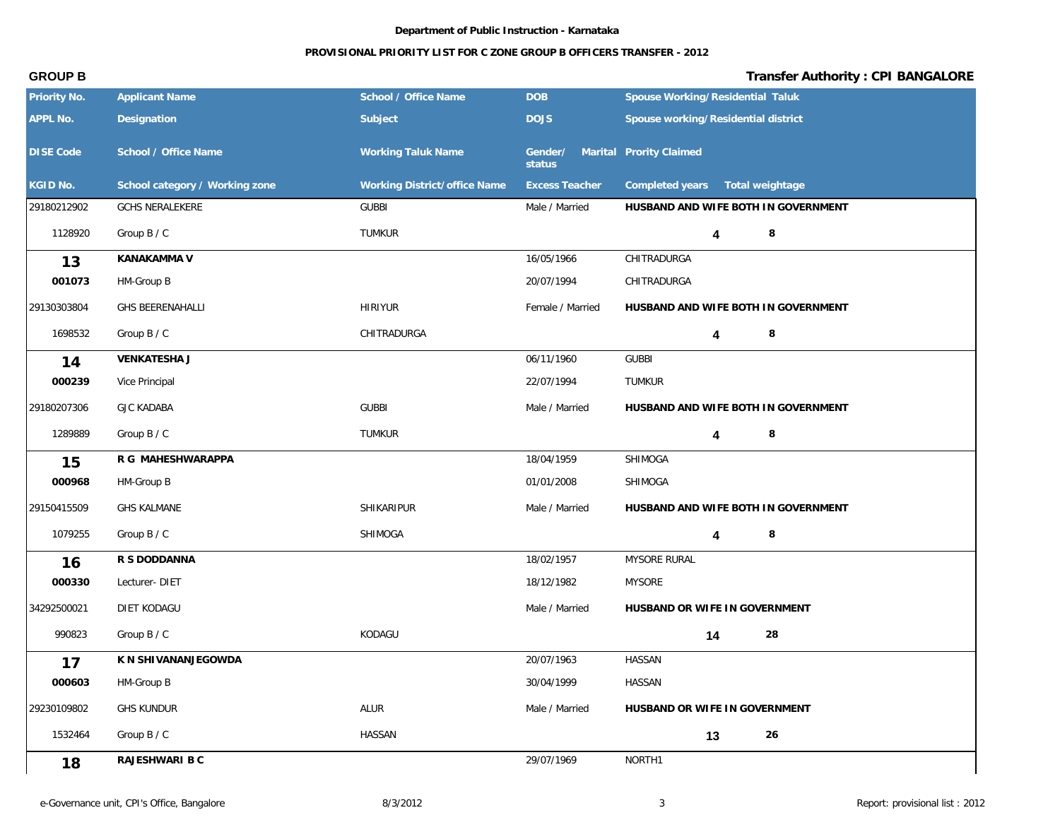## **PROVISIONAL PRIORITY LIST FOR C ZONE GROUP B OFFICERS TRANSFER - 2012**

| Priority No.     | <b>Applicant Name</b>          | School / Office Name         | <b>DOB</b>                                | Spouse Working/Residential Taluk    |
|------------------|--------------------------------|------------------------------|-------------------------------------------|-------------------------------------|
| APPL No.         | Designation                    | Subject                      | <b>DOJS</b>                               | Spouse working/Residential district |
| <b>DISE Code</b> | School / Office Name           | <b>Working Taluk Name</b>    | Gender/ Marital Prority Claimed<br>status |                                     |
| KGID No.         | School category / Working zone | Working District/office Name | <b>Excess Teacher</b>                     | Completed years<br>Total weightage  |
| 29180212902      | <b>GCHS NERALEKERE</b>         | <b>GUBBI</b>                 | Male / Married                            | HUSBAND AND WIFE BOTH IN GOVERNMENT |
| 1128920          | Group B / C                    | <b>TUMKUR</b>                |                                           | 8<br>4                              |
| 13               | KANAKAMMA V                    |                              | 16/05/1966                                | CHITRADURGA                         |
| 001073           | HM-Group B                     |                              | 20/07/1994                                | CHITRADURGA                         |
| 29130303804      | <b>GHS BEERENAHALLI</b>        | <b>HIRIYUR</b>               | Female / Married                          | HUSBAND AND WIFE BOTH IN GOVERNMENT |
| 1698532          | Group B / C                    | CHITRADURGA                  |                                           | 8<br>4                              |
| 14               | <b>VENKATESHA J</b>            |                              | 06/11/1960                                | <b>GUBBI</b>                        |
| 000239           | Vice Principal                 |                              | 22/07/1994                                | TUMKUR                              |
| 29180207306      | <b>GJC KADABA</b>              | <b>GUBBI</b>                 | Male / Married                            | HUSBAND AND WIFE BOTH IN GOVERNMENT |
| 1289889          | Group B / C                    | TUMKUR                       |                                           | $\,8\,$<br>4                        |
| 15               | R G MAHESHWARAPPA              |                              | 18/04/1959                                | SHIMOGA                             |
| 000968           | HM-Group B                     |                              | 01/01/2008                                | SHIMOGA                             |
| 29150415509      | <b>GHS KALMANE</b>             | SHIKARIPUR                   | Male / Married                            | HUSBAND AND WIFE BOTH IN GOVERNMENT |
| 1079255          | Group B / C                    | SHIMOGA                      |                                           | 8<br>4                              |
| 16               | R S DODDANNA                   |                              | 18/02/1957                                | MYSORE RURAL                        |
| 000330           | Lecturer-DIET                  |                              | 18/12/1982                                | <b>MYSORE</b>                       |
| 34292500021      | DIET KODAGU                    |                              | Male / Married                            | HUSBAND OR WIFE IN GOVERNMENT       |
| 990823           | Group B / C                    | KODAGU                       |                                           | 28<br>14                            |
| 17               | K N SHIVANANJEGOWDA            |                              | 20/07/1963                                | HASSAN                              |
| 000603           | HM-Group B                     |                              | 30/04/1999                                | <b>HASSAN</b>                       |
| 29230109802      | <b>GHS KUNDUR</b>              | ALUR                         | Male / Married                            | HUSBAND OR WIFE IN GOVERNMENT       |
| 1532464          | Group B / C                    | HASSAN                       |                                           | 26<br>13                            |
| 18               | RAJESHWARI B C                 |                              | 29/07/1969                                | NORTH1                              |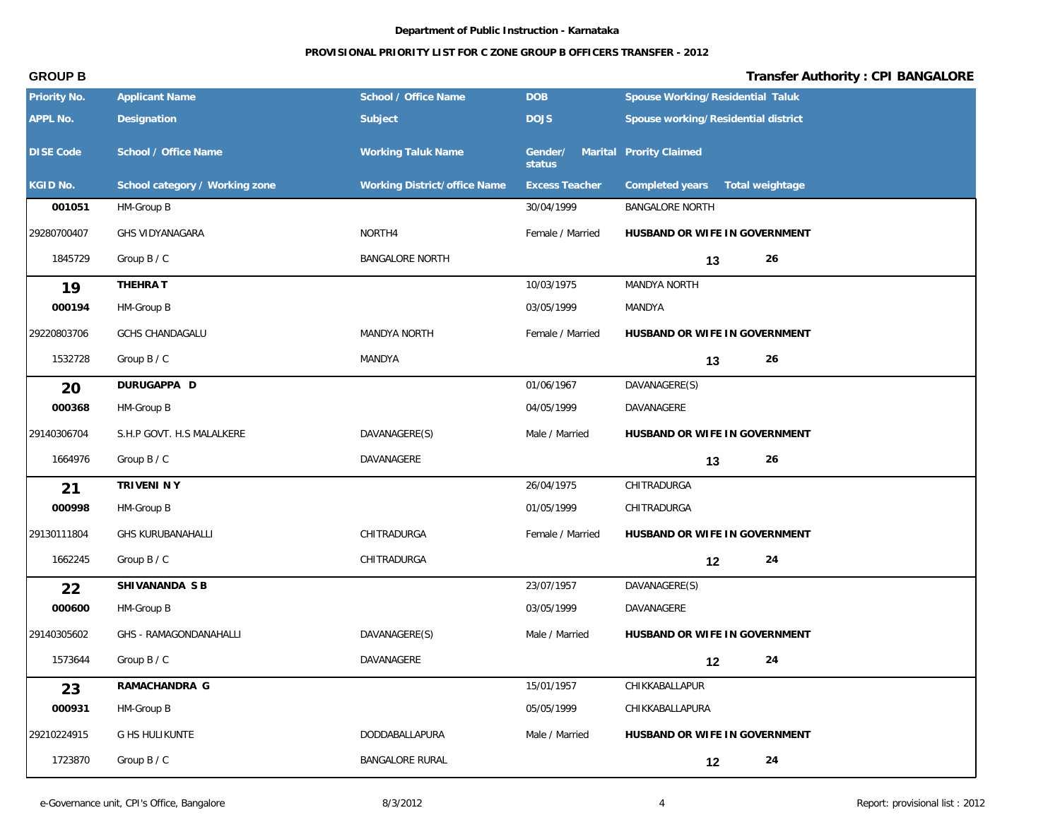| Priority No.     | <b>Applicant Name</b>          | School / Office Name         | <b>DOB</b>                                | Spouse Working/Residential Taluk    |
|------------------|--------------------------------|------------------------------|-------------------------------------------|-------------------------------------|
| <b>APPL No.</b>  | Designation                    | Subject                      | <b>DOJS</b>                               | Spouse working/Residential district |
| <b>DISE Code</b> | School / Office Name           | <b>Working Taluk Name</b>    | Gender/ Marital Prority Claimed<br>status |                                     |
| KGID No.         | School category / Working zone | Working District/office Name | <b>Excess Teacher</b>                     | Completed years<br>Total weightage  |
| 001051           | HM-Group B                     |                              | 30/04/1999                                | <b>BANGALORE NORTH</b>              |
| 29280700407      | GHS VIDYANAGARA                | NORTH4                       | Female / Married                          | HUSBAND OR WIFE IN GOVERNMENT       |
| 1845729          | Group B / C                    | <b>BANGALORE NORTH</b>       |                                           | 26<br>13                            |
| 19               | THEHRA T                       |                              | 10/03/1975                                | MANDYA NORTH                        |
| 000194           | HM-Group B                     |                              | 03/05/1999                                | MANDYA                              |
| 29220803706      | <b>GCHS CHANDAGALU</b>         | MANDYA NORTH                 | Female / Married                          | HUSBAND OR WIFE IN GOVERNMENT       |
| 1532728          | Group B / C                    | MANDYA                       |                                           | 26<br>13                            |
| 20               | DURUGAPPA D                    |                              | 01/06/1967                                | DAVANAGERE(S)                       |
| 000368           | HM-Group B                     |                              | 04/05/1999                                | DAVANAGERE                          |
| 29140306704      | S.H.P GOVT. H.S MALALKERE      | DAVANAGERE(S)                | Male / Married                            | HUSBAND OR WIFE IN GOVERNMENT       |
| 1664976          | Group B / C                    | DAVANAGERE                   |                                           | 26<br>13                            |
| 21               | TRIVENI NY                     |                              | 26/04/1975                                | CHITRADURGA                         |
| 000998           | HM-Group B                     |                              | 01/05/1999                                | CHITRADURGA                         |
| 29130111804      | <b>GHS KURUBANAHALLI</b>       | CHITRADURGA                  | Female / Married                          | HUSBAND OR WIFE IN GOVERNMENT       |
| 1662245          | Group B / C                    | CHITRADURGA                  |                                           | 24<br>12                            |
| 22               | SHIVANANDA S B                 |                              | 23/07/1957                                | DAVANAGERE(S)                       |
| 000600           | HM-Group B                     |                              | 03/05/1999                                | DAVANAGERE                          |
| 29140305602      | GHS - RAMAGONDANAHALLI         | DAVANAGERE(S)                | Male / Married                            | HUSBAND OR WIFE IN GOVERNMENT       |
| 1573644          | Group B / C                    | DAVANAGERE                   |                                           | 24<br>12                            |
| 23               | RAMACHANDRA G                  |                              | 15/01/1957                                | CHIKKABALLAPUR                      |
| 000931           | HM-Group B                     |                              | 05/05/1999                                | CHIKKABALLAPURA                     |
| 29210224915      | G HS HULIKUNTE                 | DODDABALLAPURA               | Male / Married                            | HUSBAND OR WIFE IN GOVERNMENT       |
| 1723870          | Group B / C                    | <b>BANGALORE RURAL</b>       |                                           | 24<br>12                            |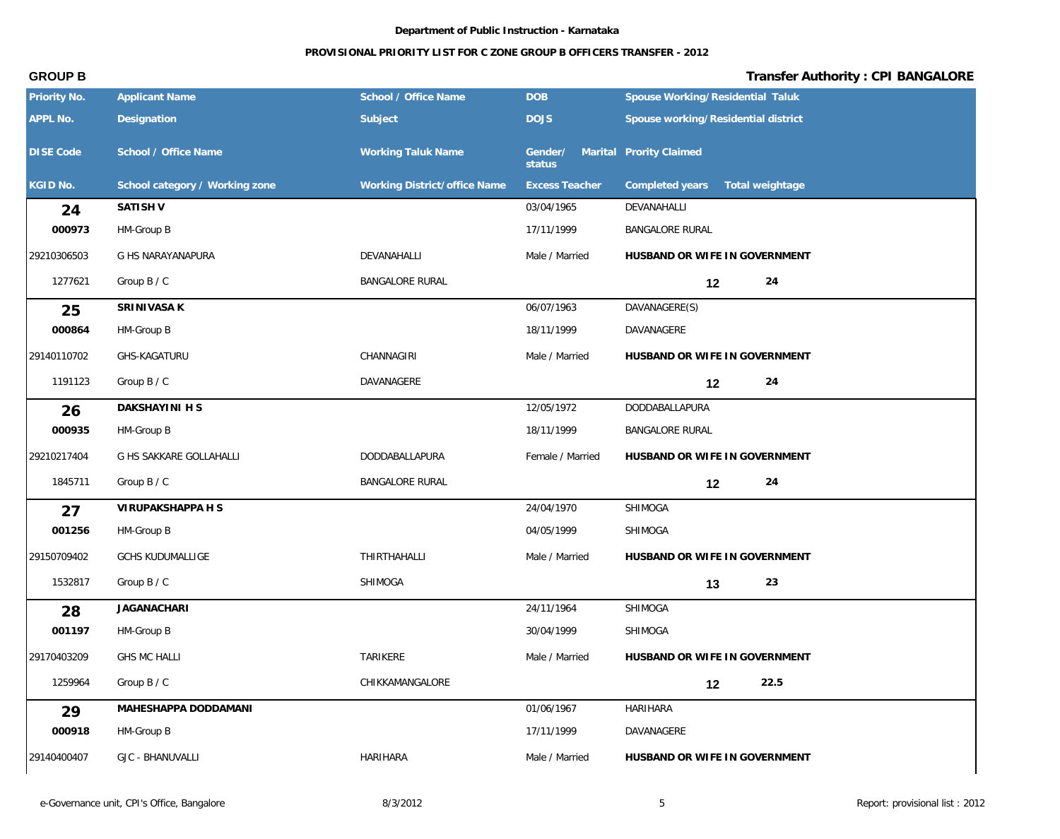## **PROVISIONAL PRIORITY LIST FOR C ZONE GROUP B OFFICERS TRANSFER - 2012**

| Priority No.     | <b>Applicant Name</b>          | School / Office Name         | <b>DOB</b>            | Spouse Working/Residential Taluk    |
|------------------|--------------------------------|------------------------------|-----------------------|-------------------------------------|
| APPL No.         | Designation                    | Subject                      | <b>DOJS</b>           | Spouse working/Residential district |
| <b>DISE Code</b> | School / Office Name           | <b>Working Taluk Name</b>    | Gender/<br>status     | Marital Prority Claimed             |
| KGID No.         | School category / Working zone | Working District/office Name | <b>Excess Teacher</b> | Completed years<br>Total weightage  |
| 24               | SATISH V                       |                              | 03/04/1965            | DEVANAHALLI                         |
| 000973           | HM-Group B                     |                              | 17/11/1999            | BANGALORE RURAL                     |
| 29210306503      | G HS NARAYANAPURA              | DEVANAHALLI                  | Male / Married        | HUSBAND OR WIFE IN GOVERNMENT       |
| 1277621          | Group B / C                    | <b>BANGALORE RURAL</b>       |                       | 24<br>12                            |
| 25               | SRINIVASA K                    |                              | 06/07/1963            | DAVANAGERE(S)                       |
| 000864           | HM-Group B                     |                              | 18/11/1999            | DAVANAGERE                          |
| 29140110702      | GHS-KAGATURU                   | CHANNAGIRI                   | Male / Married        | HUSBAND OR WIFE IN GOVERNMENT       |
| 1191123          | Group B / C                    | DAVANAGERE                   |                       | 24<br>12                            |
| 26               | DAKSHAYINI H S                 |                              | 12/05/1972            | DODDABALLAPURA                      |
| 000935           | HM-Group B                     |                              | 18/11/1999            | BANGALORE RURAL                     |
| 29210217404      | G HS SAKKARE GOLLAHALLI        | DODDABALLAPURA               | Female / Married      | HUSBAND OR WIFE IN GOVERNMENT       |
| 1845711          | Group B / C                    | <b>BANGALORE RURAL</b>       |                       | 24<br>12                            |
| 27               | VIRUPAKSHAPPA H S              |                              | 24/04/1970            | SHIMOGA                             |
| 001256           | HM-Group B                     |                              | 04/05/1999            | SHIMOGA                             |
| 29150709402      | <b>GCHS KUDUMALLIGE</b>        | THIRTHAHALLI                 | Male / Married        | HUSBAND OR WIFE IN GOVERNMENT       |
| 1532817          | Group B / C                    | SHIMOGA                      |                       | 23<br>13                            |
| 28               | <b>JAGANACHARI</b>             |                              | 24/11/1964            | SHIMOGA                             |
| 001197           | HM-Group B                     |                              | 30/04/1999            | SHIMOGA                             |
| 29170403209      | <b>GHS MC HALLI</b>            | TARIKERE                     | Male / Married        | HUSBAND OR WIFE IN GOVERNMENT       |
| 1259964          | Group B / C                    | CHIKKAMANGALORE              |                       | 22.5<br>12                          |
| 29               | MAHESHAPPA DODDAMANI           |                              | 01/06/1967            | HARIHARA                            |
| 000918           | HM-Group B                     |                              | 17/11/1999            | DAVANAGERE                          |
| 29140400407      | <b>GJC - BHANUVALLI</b>        | <b>HARIHARA</b>              | Male / Married        | HUSBAND OR WIFE IN GOVERNMENT       |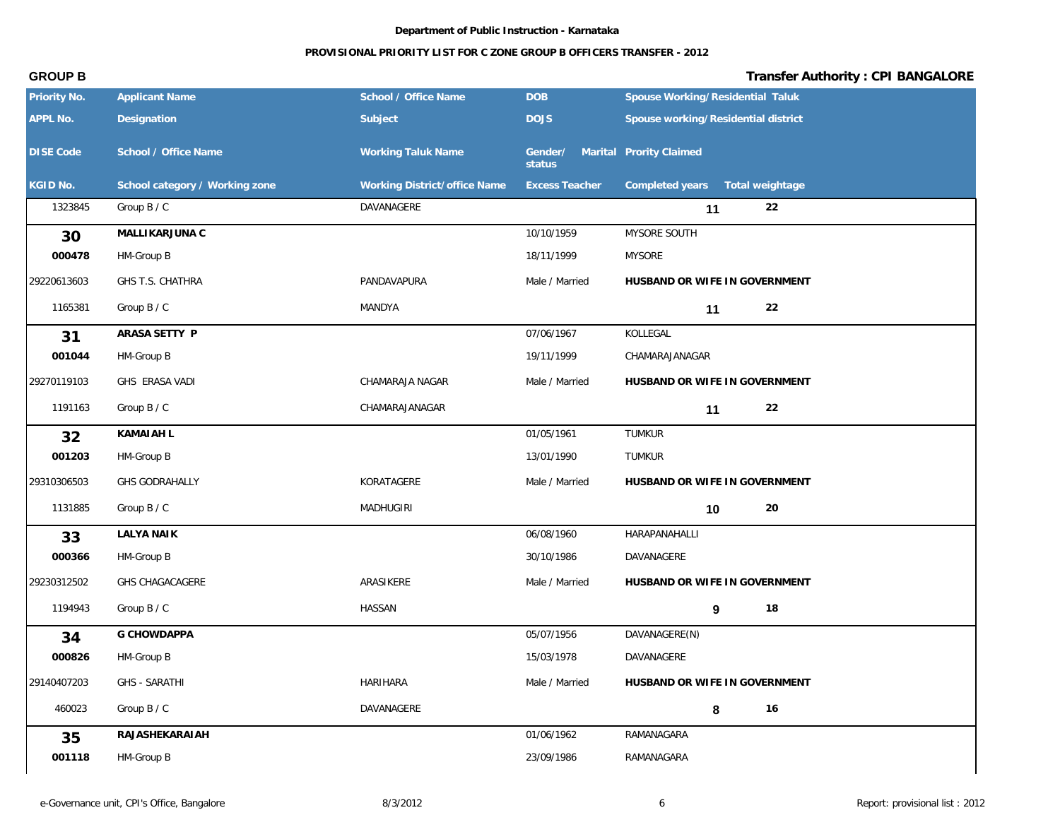### **PROVISIONAL PRIORITY LIST FOR C ZONE GROUP B OFFICERS TRANSFER - 2012**

| Priority No.     | <b>Applicant Name</b>          | School / Office Name         | DOB                                       | Spouse Working/Residential Taluk    |
|------------------|--------------------------------|------------------------------|-------------------------------------------|-------------------------------------|
| APPL No.         | Designation                    | Subject                      | <b>DOJS</b>                               | Spouse working/Residential district |
| <b>DISE Code</b> | School / Office Name           | <b>Working Taluk Name</b>    | Gender/ Marital Prority Claimed<br>status |                                     |
| KGID No.         | School category / Working zone | Working District/office Name | <b>Excess Teacher</b>                     | Completed years  Total weightage    |
| 1323845          | Group B / C                    | DAVANAGERE                   |                                           | 22<br>11                            |
| 30               | MALLIKARJUNA C                 |                              | 10/10/1959                                | MYSORE SOUTH                        |
| 000478           | HM-Group B                     |                              | 18/11/1999                                | <b>MYSORE</b>                       |
| 29220613603      | GHS T.S. CHATHRA               | PANDAVAPURA                  | Male / Married                            | HUSBAND OR WIFE IN GOVERNMENT       |
| 1165381          | Group B / C                    | MANDYA                       |                                           | 22<br>11                            |
| 31               | ARASA SETTY P                  |                              | 07/06/1967                                | KOLLEGAL                            |
| 001044           | HM-Group B                     |                              | 19/11/1999                                | CHAMARAJANAGAR                      |
| 29270119103      | GHS ERASA VADI                 | CHAMARAJA NAGAR              | Male / Married                            | HUSBAND OR WIFE IN GOVERNMENT       |
| 1191163          | Group B / C                    | CHAMARAJANAGAR               |                                           | 22<br>11                            |
| 32               | KAMAI AH L                     |                              | 01/05/1961                                | <b>TUMKUR</b>                       |
| 001203           | HM-Group B                     |                              | 13/01/1990                                | <b>TUMKUR</b>                       |
| 29310306503      | GHS GODRAHALLY                 | KORATAGERE                   | Male / Married                            | HUSBAND OR WIFE IN GOVERNMENT       |
| 1131885          | Group B / C                    | <b>MADHUGIRI</b>             |                                           | 20<br>10                            |
| 33               | <b>LALYA NAIK</b>              |                              | 06/08/1960                                | HARAPANAHALLI                       |
| 000366           | HM-Group B                     |                              | 30/10/1986                                | DAVANAGERE                          |
| 29230312502      | <b>GHS CHAGACAGERE</b>         | ARASIKERE                    | Male / Married                            | HUSBAND OR WIFE IN GOVERNMENT       |
| 1194943          | Group B / C                    | HASSAN                       |                                           | 18<br>9                             |
| 34               | G CHOWDAPPA                    |                              | 05/07/1956                                | DAVANAGERE(N)                       |
| 000826           | HM-Group B                     |                              | 15/03/1978                                | DAVANAGERE                          |
| 29140407203      | <b>GHS - SARATHI</b>           | HARIHARA                     | Male / Married                            | HUSBAND OR WIFE IN GOVERNMENT       |
| 460023           | Group B / C                    | DAVANAGERE                   |                                           | 16<br>8                             |
| 35               | RAJASHEKARAIAH                 |                              | 01/06/1962                                | RAMANAGARA                          |
| 001118           | HM-Group B                     |                              | 23/09/1986                                | RAMANAGARA                          |
|                  |                                |                              |                                           |                                     |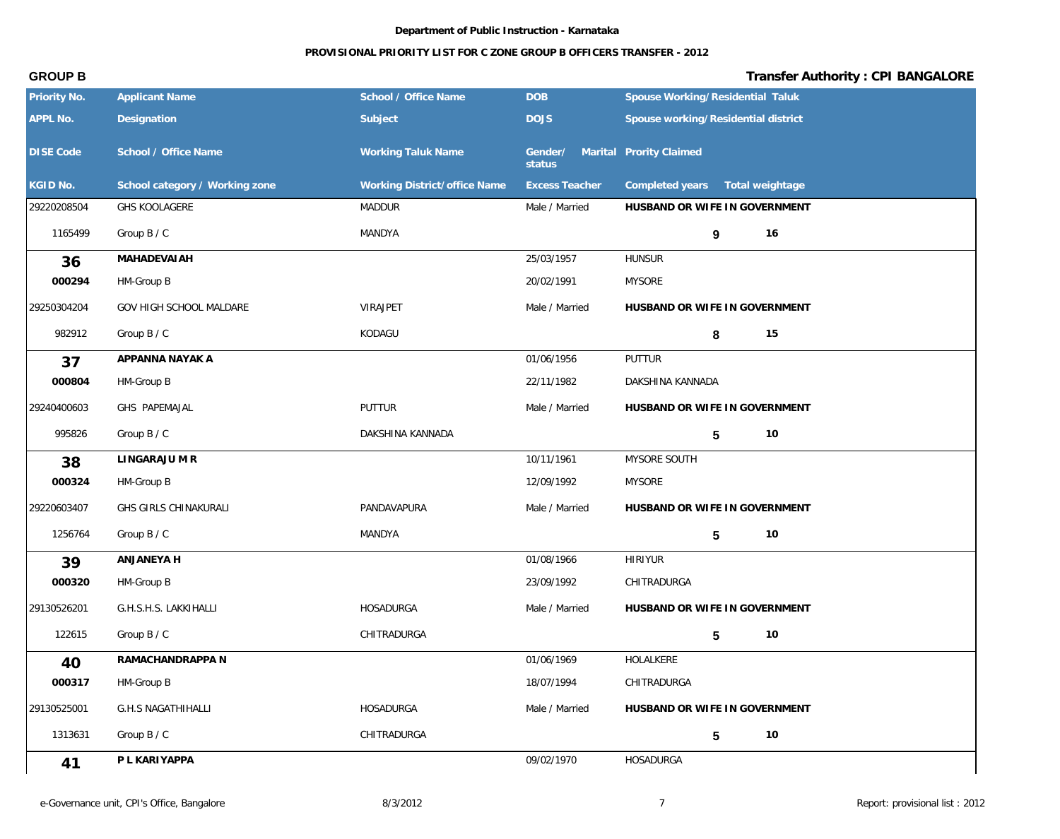| Priority No.     | <b>Applicant Name</b>          | School / Office Name         | <b>DOB</b>            | Spouse Working/Residential Taluk    |
|------------------|--------------------------------|------------------------------|-----------------------|-------------------------------------|
| <b>APPL No.</b>  | Designation                    | Subject                      | <b>DOJS</b>           | Spouse working/Residential district |
| <b>DISE Code</b> | School / Office Name           | <b>Working Taluk Name</b>    | Gender/<br>status     | Marital Prority Claimed             |
| KGID No.         | School category / Working zone | Working District/office Name | <b>Excess Teacher</b> | Completed years   Total weightage   |
| 29220208504      | <b>GHS KOOLAGERE</b>           | <b>MADDUR</b>                | Male / Married        | HUSBAND OR WIFE IN GOVERNMENT       |
| 1165499          | Group B / C                    | MANDYA                       |                       | 16<br>9                             |
| 36               | <b>MAHADEVAIAH</b>             |                              | 25/03/1957            | <b>HUNSUR</b>                       |
| 000294           | HM-Group B                     |                              | 20/02/1991            | <b>MYSORE</b>                       |
| 29250304204      | GOV HIGH SCHOOL MALDARE        | VIRAJPET                     | Male / Married        | HUSBAND OR WIFE IN GOVERNMENT       |
| 982912           | Group B / C                    | KODAGU                       |                       | 15<br>8                             |
| 37               | APPANNA NAYAK A                |                              | 01/06/1956            | PUTTUR                              |
| 000804           | HM-Group B                     |                              | 22/11/1982            | DAKSHINA KANNADA                    |
| 29240400603      | GHS PAPEMAJAL                  | PUTTUR                       | Male / Married        | HUSBAND OR WIFE IN GOVERNMENT       |
| 995826           | Group B / C                    | DAKSHINA KANNADA             |                       | 5<br>10                             |
| 38               | LINGARAJU M R                  |                              | 10/11/1961            | MYSORE SOUTH                        |
| 000324           | HM-Group B                     |                              | 12/09/1992            | <b>MYSORE</b>                       |
| 29220603407      | GHS GIRLS CHINAKURALI          | PANDAVAPURA                  | Male / Married        | HUSBAND OR WIFE IN GOVERNMENT       |
| 1256764          | Group B / C                    | MANDYA                       |                       | 10<br>5                             |
| 39               | ANJANEYA H                     |                              | 01/08/1966            | <b>HIRIYUR</b>                      |
| 000320           | HM-Group B                     |                              | 23/09/1992            | CHITRADURGA                         |
| 29130526201      | G.H.S.H.S. LAKKIHALLI          | <b>HOSADURGA</b>             | Male / Married        | HUSBAND OR WIFE IN GOVERNMENT       |
| 122615           | Group B / C                    | CHITRADURGA                  |                       | $5 \t 10$                           |
| 40               | RAMACHANDRAPPA N               |                              | 01/06/1969            | HOLALKERE                           |
| 000317           | HM-Group B                     |                              | 18/07/1994            | CHITRADURGA                         |
| 29130525001      | <b>G.H.S NAGATHIHALLI</b>      | HOSADURGA                    | Male / Married        | HUSBAND OR WIFE IN GOVERNMENT       |
| 1313631          | Group B / C                    | CHITRADURGA                  |                       | $10$<br>$5\phantom{.0}$             |
| 41               | P L KARIYAPPA                  |                              | 09/02/1970            | HOSADURGA                           |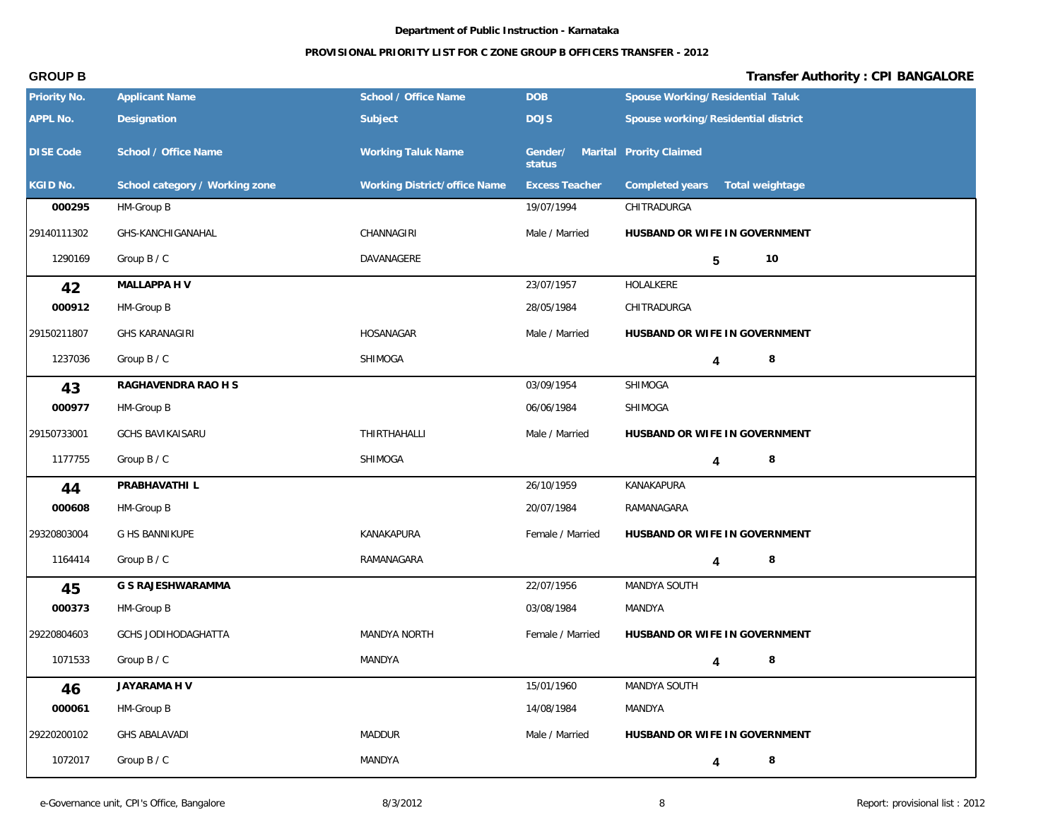## **PROVISIONAL PRIORITY LIST FOR C ZONE GROUP B OFFICERS TRANSFER - 2012**

| Priority No.     | <b>Applicant Name</b>          | School / Office Name         | <b>DOB</b>            | Spouse Working/Residential Taluk    |
|------------------|--------------------------------|------------------------------|-----------------------|-------------------------------------|
| APPL No.         | Designation                    | Subject                      | <b>DOJS</b>           | Spouse working/Residential district |
| <b>DISE Code</b> | School / Office Name           | <b>Working Taluk Name</b>    | Gender/<br>status     | Marital Prority Claimed             |
| KGID No.         | School category / Working zone | Working District/office Name | <b>Excess Teacher</b> | Completed years<br>Total weightage  |
| 000295           | HM-Group B                     |                              | 19/07/1994            | CHITRADURGA                         |
| 29140111302      | GHS-KANCHIGANAHAL              | CHANNAGIRI                   | Male / Married        | HUSBAND OR WIFE IN GOVERNMENT       |
| 1290169          | Group B / C                    | DAVANAGERE                   |                       | 10<br>5                             |
| 42               | MALLAPPA H V                   |                              | 23/07/1957            | HOLALKERE                           |
| 000912           | HM-Group B                     |                              | 28/05/1984            | CHITRADURGA                         |
| 29150211807      | <b>GHS KARANAGIRI</b>          | HOSANAGAR                    | Male / Married        | HUSBAND OR WIFE IN GOVERNMENT       |
| 1237036          | Group B / C                    | SHIMOGA                      |                       | 8<br>4                              |
| 43               | RAGHAVENDRA RAO H S            |                              | 03/09/1954            | SHIMOGA                             |
| 000977           | HM-Group B                     |                              | 06/06/1984            | SHIMOGA                             |
| 29150733001      | <b>GCHS BAVIKAISARU</b>        | <b>THIRTHAHALLI</b>          | Male / Married        | HUSBAND OR WIFE IN GOVERNMENT       |
| 1177755          | Group B / C                    | SHIMOGA                      |                       | 8<br>4                              |
| 44               | PRABHAVATHI L                  |                              | 26/10/1959            | KANAKAPURA                          |
| 000608           | HM-Group B                     |                              | 20/07/1984            | RAMANAGARA                          |
| 29320803004      | G HS BANNIKUPE                 | KANAKAPURA                   | Female / Married      | HUSBAND OR WIFE IN GOVERNMENT       |
| 1164414          | Group B / C                    | RAMANAGARA                   |                       | 8<br>4                              |
| 45               | G S RAJESHWARAMMA              |                              | 22/07/1956            | MANDYA SOUTH                        |
| 000373           | HM-Group B                     |                              | 03/08/1984            | MANDYA                              |
| 29220804603      | GCHS JODIHODAGHATTA            | MANDYA NORTH                 | Female / Married      | HUSBAND OR WIFE IN GOVERNMENT       |
| 1071533          | Group B / C                    | MANDYA                       |                       | $\,8\,$<br>4                        |
| 46               | JAYARAMA H V                   |                              | 15/01/1960            | MANDYA SOUTH                        |
| 000061           | HM-Group B                     |                              | 14/08/1984            | MANDYA                              |
| 29220200102      | <b>GHS ABALAVADI</b>           | MADDUR                       | Male / Married        | HUSBAND OR WIFE IN GOVERNMENT       |
| 1072017          | Group B / C                    | MANDYA                       |                       | 8<br>4                              |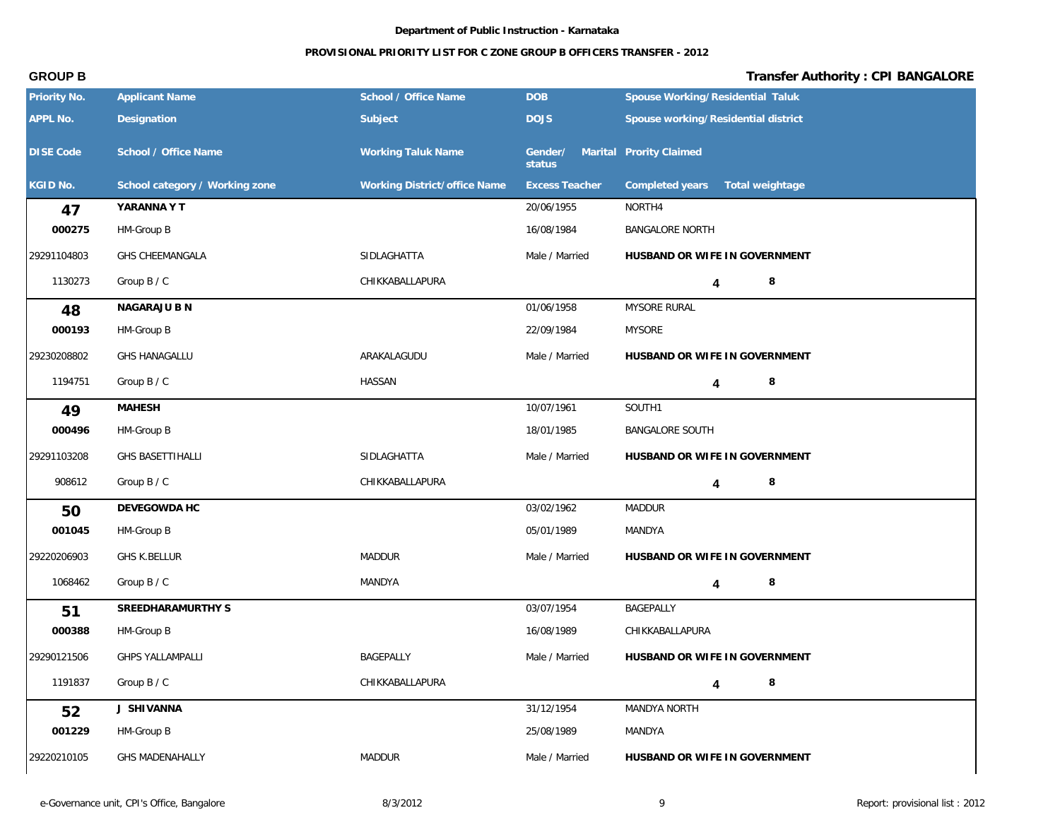### **PROVISIONAL PRIORITY LIST FOR C ZONE GROUP B OFFICERS TRANSFER - 2012**

| Priority No.     | <b>Applicant Name</b>          | School / Office Name         | <b>DOB</b>                                | Spouse Working/Residential Taluk    |
|------------------|--------------------------------|------------------------------|-------------------------------------------|-------------------------------------|
| APPL No.         | Designation                    | Subject                      | <b>DOJS</b>                               | Spouse working/Residential district |
| <b>DISE Code</b> | School / Office Name           | <b>Working Taluk Name</b>    | Gender/ Marital Prority Claimed<br>status |                                     |
| KGID No.         | School category / Working zone | Working District/office Name | <b>Excess Teacher</b>                     | Completed years<br>Total weightage  |
| 47               | YARANNA Y T                    |                              | 20/06/1955                                | NORTH4                              |
| 000275           | HM-Group B                     |                              | 16/08/1984                                | <b>BANGALORE NORTH</b>              |
| 29291104803      | GHS CHEEMANGALA                | SIDLAGHATTA                  | Male / Married                            | HUSBAND OR WIFE IN GOVERNMENT       |
| 1130273          | Group B / C                    | CHIKKABALLAPURA              |                                           | 8<br>4                              |
| 48               | NAGARAJU B N                   |                              | 01/06/1958                                | MYSORE RURAL                        |
| 000193           | HM-Group B                     |                              | 22/09/1984                                | <b>MYSORE</b>                       |
| 29230208802      | <b>GHS HANAGALLU</b>           | ARAKALAGUDU                  | Male / Married                            | HUSBAND OR WIFE IN GOVERNMENT       |
| 1194751          | Group B / C                    | <b>HASSAN</b>                |                                           | 8<br>$\overline{\mathbf{4}}$        |
| 49               | <b>MAHESH</b>                  |                              | 10/07/1961                                | SOUTH1                              |
| 000496           | HM-Group B                     |                              | 18/01/1985                                | <b>BANGALORE SOUTH</b>              |
| 29291103208      | <b>GHS BASETTIHALLI</b>        | SIDLAGHATTA                  | Male / Married                            | HUSBAND OR WIFE IN GOVERNMENT       |
| 908612           | Group B / C                    | CHIKKABALLAPURA              |                                           | 8<br>4                              |
| 50               | DEVEGOWDA HC                   |                              | 03/02/1962                                | MADDUR                              |
| 001045           | HM-Group B                     |                              | 05/01/1989                                | MANDYA                              |
| 29220206903      | <b>GHS K.BELLUR</b>            | <b>MADDUR</b>                | Male / Married                            | HUSBAND OR WIFE IN GOVERNMENT       |
| 1068462          | Group B / C                    | MANDYA                       |                                           | 8<br>4                              |
| 51               | SREEDHARAMURTHY S              |                              | 03/07/1954                                | BAGEPALLY                           |
| 000388           | HM-Group B                     |                              | 16/08/1989                                | CHIKKABALLAPURA                     |
| 29290121506      | <b>GHPS YALLAMPALLI</b>        | BAGEPALLY                    | Male / Married                            | HUSBAND OR WIFE IN GOVERNMENT       |
| 1191837          | Group B / C                    | CHIKKABALLAPURA              |                                           | $\,8\,$<br>4                        |
| 52               | J SHIVANNA                     |                              | 31/12/1954                                | MANDYA NORTH                        |
| 001229           | HM-Group B                     |                              | 25/08/1989                                | MANDYA                              |
| 29220210105      | <b>GHS MADENAHALLY</b>         | MADDUR                       | Male / Married                            | HUSBAND OR WIFE IN GOVERNMENT       |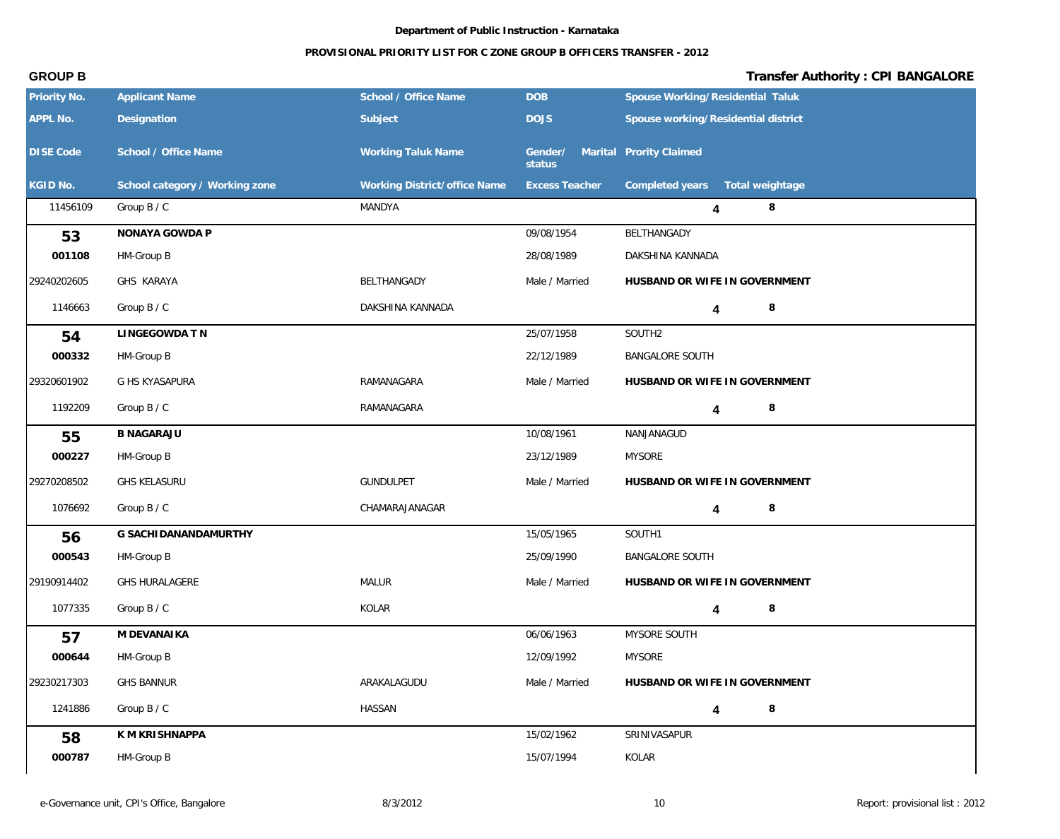### **PROVISIONAL PRIORITY LIST FOR C ZONE GROUP B OFFICERS TRANSFER - 2012**

| Priority No.     | <b>Applicant Name</b>          | School / Office Name         | <b>DOB</b>            | Spouse Working/Residential Taluk    |
|------------------|--------------------------------|------------------------------|-----------------------|-------------------------------------|
| APPL No.         | Designation                    | Subject                      | <b>DOJS</b>           | Spouse working/Residential district |
| <b>DISE Code</b> | School / Office Name           | <b>Working Taluk Name</b>    | Gender/<br>status     | Marital Prority Claimed             |
| KGID No.         | School category / Working zone | Working District/office Name | <b>Excess Teacher</b> | Completed years<br>Total weightage  |
| 11456109         | Group B / C                    | MANDYA                       |                       | $\,8\,$<br>4                        |
| 53               | NONAYA GOWDA P                 |                              | 09/08/1954            | BELTHANGADY                         |
| 001108           | HM-Group B                     |                              | 28/08/1989            | DAKSHINA KANNADA                    |
| 29240202605      | GHS KARAYA                     | BELTHANGADY                  | Male / Married        | HUSBAND OR WIFE IN GOVERNMENT       |
| 1146663          | Group B / C                    | DAKSHINA KANNADA             |                       | 8<br>4                              |
| 54               | LINGEGOWDA TN                  |                              | 25/07/1958            | SOUTH2                              |
| 000332           | HM-Group B                     |                              | 22/12/1989            | <b>BANGALORE SOUTH</b>              |
| 29320601902      | G HS KYASAPURA                 | RAMANAGARA                   | Male / Married        | HUSBAND OR WIFE IN GOVERNMENT       |
| 1192209          | Group B / C                    | RAMANAGARA                   |                       | $\,8\,$<br>4                        |
| 55               | <b>B NAGARAJU</b>              |                              | 10/08/1961            | NANJANAGUD                          |
| 000227           | HM-Group B                     |                              | 23/12/1989            | <b>MYSORE</b>                       |
| 29270208502      | <b>GHS KELASURU</b>            | <b>GUNDULPET</b>             | Male / Married        | HUSBAND OR WIFE IN GOVERNMENT       |
| 1076692          | Group B / C                    | CHAMARAJANAGAR               |                       | 8<br>4                              |
| 56               | G SACHI DANANDAMURTHY          |                              | 15/05/1965            | SOUTH1                              |
| 000543           | HM-Group B                     |                              | 25/09/1990            | <b>BANGALORE SOUTH</b>              |
| 29190914402      | <b>GHS HURALAGERE</b>          | MALUR                        | Male / Married        | HUSBAND OR WIFE IN GOVERNMENT       |
| 1077335          | Group B / C                    | KOLAR                        |                       | 8<br>4                              |
| 57               | M DEVANAIKA                    |                              | 06/06/1963            | MYSORE SOUTH                        |
| 000644           | HM-Group B                     |                              | 12/09/1992            | MYSORE                              |
| 29230217303      | <b>GHS BANNUR</b>              | ARAKALAGUDU                  | Male / Married        | HUSBAND OR WIFE IN GOVERNMENT       |
| 1241886          | Group B / C                    | <b>HASSAN</b>                |                       | $\,8\,$<br>4                        |
| 58               | K M KRISHNAPPA                 |                              | 15/02/1962            | SRINIVASAPUR                        |
| 000787           | HM-Group B                     |                              | 15/07/1994            | KOLAR                               |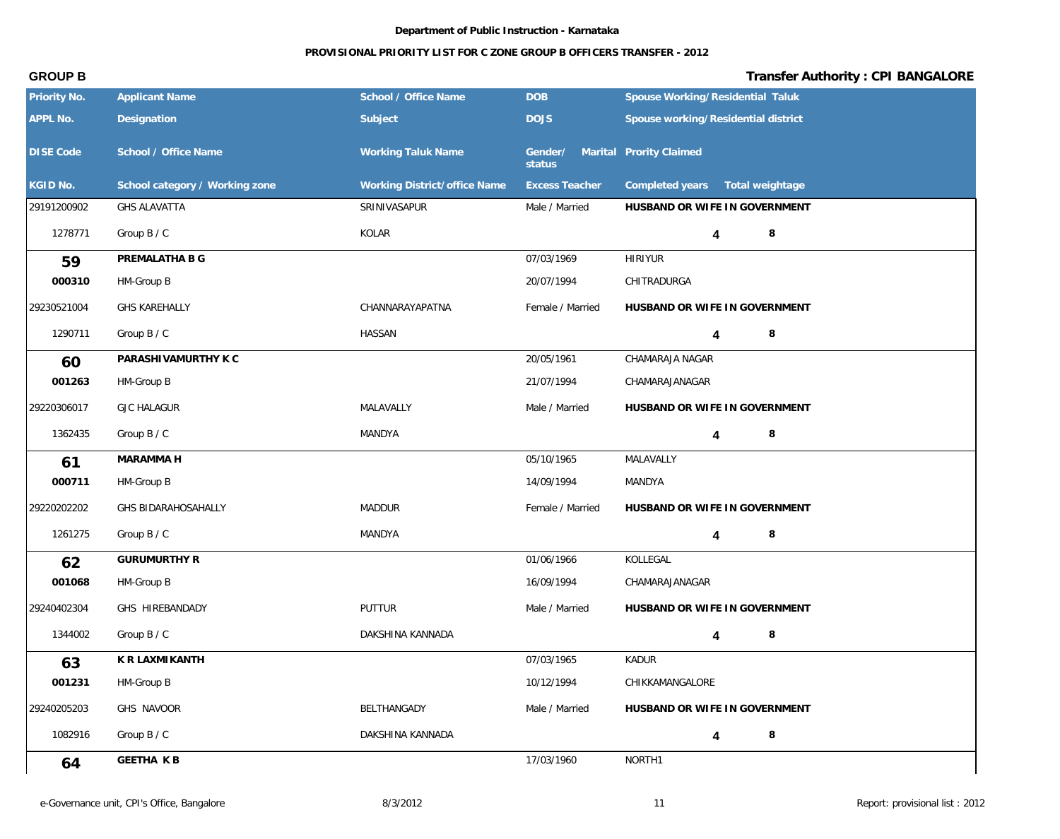| Priority No.     | <b>Applicant Name</b>          | School / Office Name         | <b>DOB</b>                                | Spouse Working/Residential Taluk    |
|------------------|--------------------------------|------------------------------|-------------------------------------------|-------------------------------------|
| APPL No.         | Designation                    | Subject                      | <b>DOJS</b>                               | Spouse working/Residential district |
| <b>DISE Code</b> | School / Office Name           | <b>Working Taluk Name</b>    | Gender/ Marital Prority Claimed<br>status |                                     |
| KGID No.         | School category / Working zone | Working District/office Name | <b>Excess Teacher</b>                     | Completed years<br>Total weightage  |
| 29191200902      | <b>GHS ALAVATTA</b>            | SRINIVASAPUR                 | Male / Married                            | HUSBAND OR WIFE IN GOVERNMENT       |
| 1278771          | Group B / C                    | KOLAR                        |                                           | 8<br>4                              |
| 59               | PREMALATHA B G                 |                              | 07/03/1969                                | <b>HIRIYUR</b>                      |
| 000310           | HM-Group B                     |                              | 20/07/1994                                | CHITRADURGA                         |
| 29230521004      | <b>GHS KAREHALLY</b>           | CHANNARAYAPATNA              | Female / Married                          | HUSBAND OR WIFE IN GOVERNMENT       |
| 1290711          | Group B / C                    | <b>HASSAN</b>                |                                           | 8<br>4                              |
| 60               | PARASHIVAMURTHY K C            |                              | 20/05/1961                                | CHAMARAJA NAGAR                     |
| 001263           | HM-Group B                     |                              | 21/07/1994                                | CHAMARAJANAGAR                      |
| 29220306017      | <b>GJC HALAGUR</b>             | MALAVALLY                    | Male / Married                            | HUSBAND OR WIFE IN GOVERNMENT       |
| 1362435          | Group B / C                    | MANDYA                       |                                           | $\,8\,$<br>4                        |
| 61               | MARAMMA H                      |                              | 05/10/1965                                | MALAVALLY                           |
| 000711           | HM-Group B                     |                              | 14/09/1994                                | MANDYA                              |
| 29220202202      | GHS BIDARAHOSAHALLY            | MADDUR                       | Female / Married                          | HUSBAND OR WIFE IN GOVERNMENT       |
| 1261275          | Group B / C                    | MANDYA                       |                                           | 8<br>4                              |
| 62               | <b>GURUMURTHY R</b>            |                              | 01/06/1966                                | KOLLEGAL                            |
| 001068           | HM-Group B                     |                              | 16/09/1994                                | CHAMARAJANAGAR                      |
| 29240402304      | GHS HIREBANDADY                | PUTTUR                       | Male / Married                            | HUSBAND OR WIFE IN GOVERNMENT       |
| 1344002          | Group B / C                    | DAKSHINA KANNADA             |                                           | $\overline{4}$                      |
| 63               | K R LAXMI KANTH                |                              | 07/03/1965                                | KADUR                               |
| 001231           | HM-Group B                     |                              | 10/12/1994                                | CHIKKAMANGALORE                     |
| 29240205203      | GHS NAVOOR                     | BELTHANGADY                  | Male / Married                            | HUSBAND OR WIFE IN GOVERNMENT       |
| 1082916          | Group B / C                    | DAKSHINA KANNADA             |                                           | 8<br>4                              |
| 64               | <b>GEETHA KB</b>               |                              | 17/03/1960                                | NORTH1                              |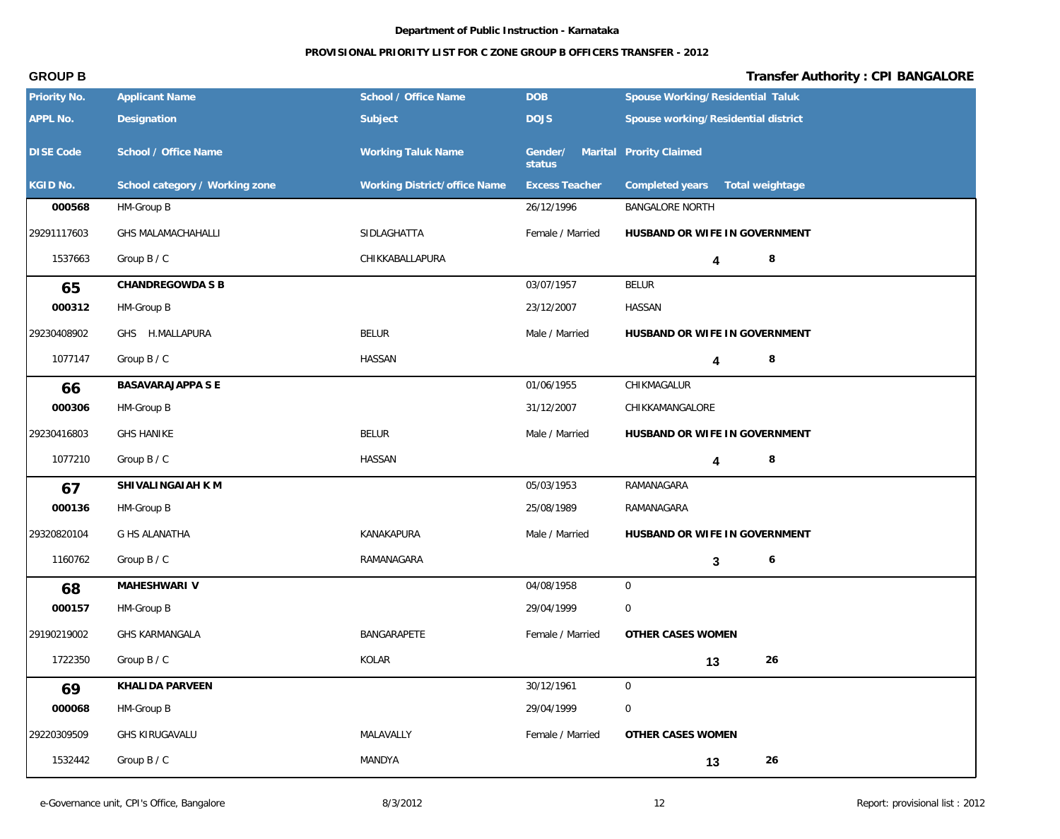## **PROVISIONAL PRIORITY LIST FOR C ZONE GROUP B OFFICERS TRANSFER - 2012**

| Priority No.     | <b>Applicant Name</b>          | School / Office Name         | <b>DOB</b>                                | Spouse Working/Residential Taluk    |
|------------------|--------------------------------|------------------------------|-------------------------------------------|-------------------------------------|
| APPL No.         | Designation                    | Subject                      | <b>DOJS</b>                               | Spouse working/Residential district |
| <b>DISE Code</b> | School / Office Name           | <b>Working Taluk Name</b>    | Gender/ Marital Prority Claimed<br>status |                                     |
| KGID No.         | School category / Working zone | Working District/office Name | <b>Excess Teacher</b>                     | Completed years<br>Total weightage  |
| 000568           | HM-Group B                     |                              | 26/12/1996                                | <b>BANGALORE NORTH</b>              |
| 29291117603      | GHS MALAMACHAHALLI             | SIDLAGHATTA                  | Female / Married                          | HUSBAND OR WIFE IN GOVERNMENT       |
| 1537663          | Group B / C                    | CHIKKABALLAPURA              |                                           | 8<br>4                              |
| 65               | CHANDREGOWDA S B               |                              | 03/07/1957                                | <b>BELUR</b>                        |
| 000312           | HM-Group B                     |                              | 23/12/2007                                | HASSAN                              |
| 29230408902      | GHS H.MALLAPURA                | <b>BELUR</b>                 | Male / Married                            | HUSBAND OR WIFE IN GOVERNMENT       |
| 1077147          | Group B / C                    | <b>HASSAN</b>                |                                           | 8<br>4                              |
| 66               | BASAVARAJAPPA S E              |                              | 01/06/1955                                | CHIKMAGALUR                         |
| 000306           | HM-Group B                     |                              | 31/12/2007                                | CHIKKAMANGALORE                     |
| 29230416803      | <b>GHS HANIKE</b>              | <b>BELUR</b>                 | Male / Married                            | HUSBAND OR WIFE IN GOVERNMENT       |
| 1077210          | Group B / C                    | <b>HASSAN</b>                |                                           | 8<br>4                              |
| 67               | SHIVALINGAIAH KM               |                              | 05/03/1953                                | RAMANAGARA                          |
| 000136           | HM-Group B                     |                              | 25/08/1989                                | RAMANAGARA                          |
| 29320820104      | G HS ALANATHA                  | KANAKAPURA                   | Male / Married                            | HUSBAND OR WIFE IN GOVERNMENT       |
| 1160762          | Group B / C                    | RAMANAGARA                   |                                           | 6<br>3                              |
| 68               | MAHESHWARI V                   |                              | 04/08/1958                                | $\overline{0}$                      |
| 000157           | HM-Group B                     |                              | 29/04/1999                                | 0                                   |
| 29190219002      | GHS KARMANGALA                 | BANGARAPETE                  | Female / Married                          | OTHER CASES WOMEN                   |
| 1722350          | Group B / C                    | KOLAR                        |                                           | 26<br>13                            |
| 69               | KHALIDA PARVEEN                |                              | 30/12/1961                                | $\mathbf 0$                         |
| 000068           | HM-Group B                     |                              | 29/04/1999                                | $\mathsf{O}\xspace$                 |
| 29220309509      | GHS KIRUGAVALU                 | MALAVALLY                    | Female / Married                          | OTHER CASES WOMEN                   |
| 1532442          | Group B / C                    | MANDYA                       |                                           | 26<br>13                            |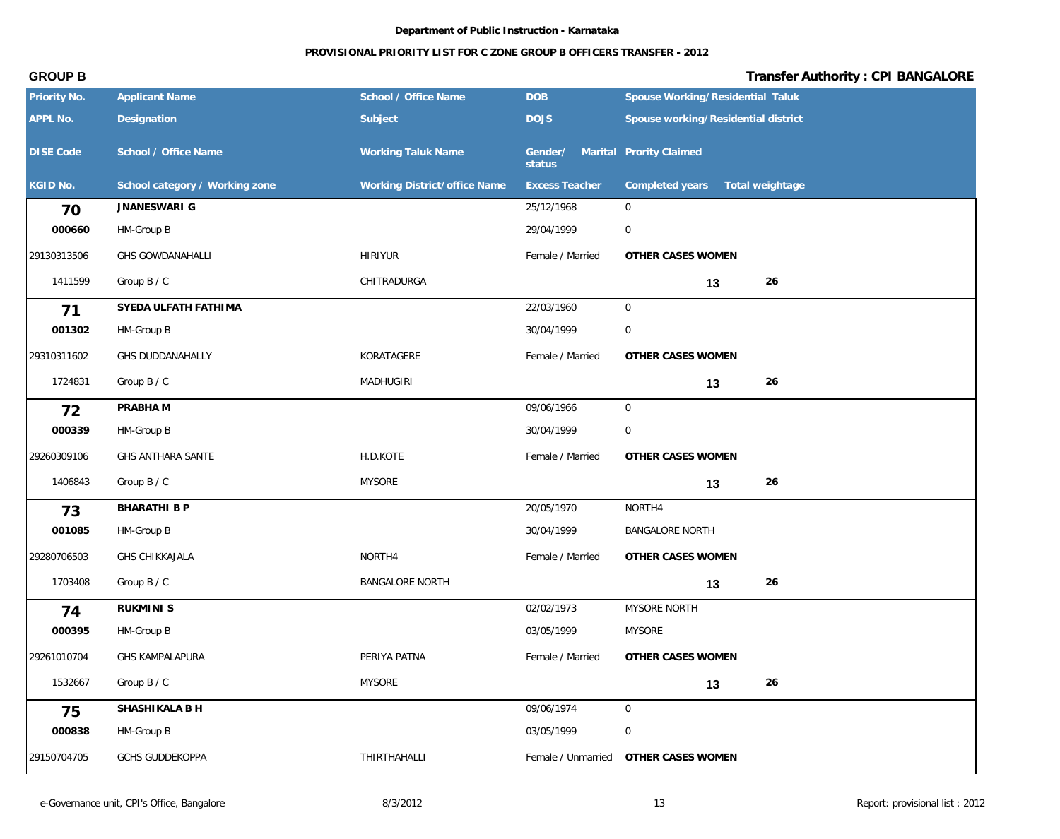| Priority No.     | <b>Applicant Name</b>          | School / Office Name         | DOB                   | Spouse Working/Residential Taluk    |
|------------------|--------------------------------|------------------------------|-----------------------|-------------------------------------|
| APPL No.         | Designation                    | Subject                      | <b>DOJS</b>           | Spouse working/Residential district |
| <b>DISE Code</b> | School / Office Name           | <b>Working Taluk Name</b>    | Gender/<br>status     | Marital Prority Claimed             |
| KGID No.         | School category / Working zone | Working District/office Name | <b>Excess Teacher</b> | Completed years<br>Total weightage  |
| 70               | JNANESWARI G                   |                              | 25/12/1968            | 0                                   |
| 000660           | HM-Group B                     |                              | 29/04/1999            | $\mathbf 0$                         |
| 29130313506      | <b>GHS GOWDANAHALLI</b>        | <b>HIRIYUR</b>               | Female / Married      | OTHER CASES WOMEN                   |
| 1411599          | Group B / C                    | CHITRADURGA                  |                       | 26<br>13                            |
| 71               | SYEDA ULFATH FATHIMA           |                              | 22/03/1960            | $\mathbf 0$                         |
| 001302           | HM-Group B                     |                              | 30/04/1999            | $\mathbf 0$                         |
| 29310311602      | <b>GHS DUDDANAHALLY</b>        | KORATAGERE                   | Female / Married      | OTHER CASES WOMEN                   |
| 1724831          | Group B / C                    | <b>MADHUGIRI</b>             |                       | 26<br>13                            |
| 72               | PRABHA M                       |                              | 09/06/1966            | $\overline{0}$                      |
| 000339           | HM-Group B                     |                              | 30/04/1999            | $\mathbf 0$                         |
| 29260309106      | GHS ANTHARA SANTE              | H.D.KOTE                     | Female / Married      | OTHER CASES WOMEN                   |
| 1406843          | Group B / C                    | <b>MYSORE</b>                |                       | 26<br>13                            |
| 73               | BHARATHI B P                   |                              | 20/05/1970            | NORTH4                              |
| 001085           | HM-Group B                     |                              | 30/04/1999            | <b>BANGALORE NORTH</b>              |
| 29280706503      | <b>GHS CHIKKAJALA</b>          | NORTH4                       | Female / Married      | OTHER CASES WOMEN                   |
| 1703408          | Group B / C                    | <b>BANGALORE NORTH</b>       |                       | 26<br>13                            |
| 74               | RUKMINI S                      |                              | 02/02/1973            | MYSORE NORTH                        |
| 000395           | HM-Group B                     |                              | 03/05/1999            | <b>MYSORE</b>                       |
| 29261010704      | <b>GHS KAMPALAPURA</b>         | PERIYA PATNA                 | Female / Married      | OTHER CASES WOMEN                   |
| 1532667          | Group B / C                    | <b>MYSORE</b>                |                       | 26<br>13                            |
| 75               | SHASHIKALA B H                 |                              | 09/06/1974            | $\overline{0}$                      |
| 000838           | HM-Group B                     |                              | 03/05/1999            | $\mathbf 0$                         |
| 29150704705      | <b>GCHS GUDDEKOPPA</b>         | THIRTHAHALLI                 | Female / Unmarried    | OTHER CASES WOMEN                   |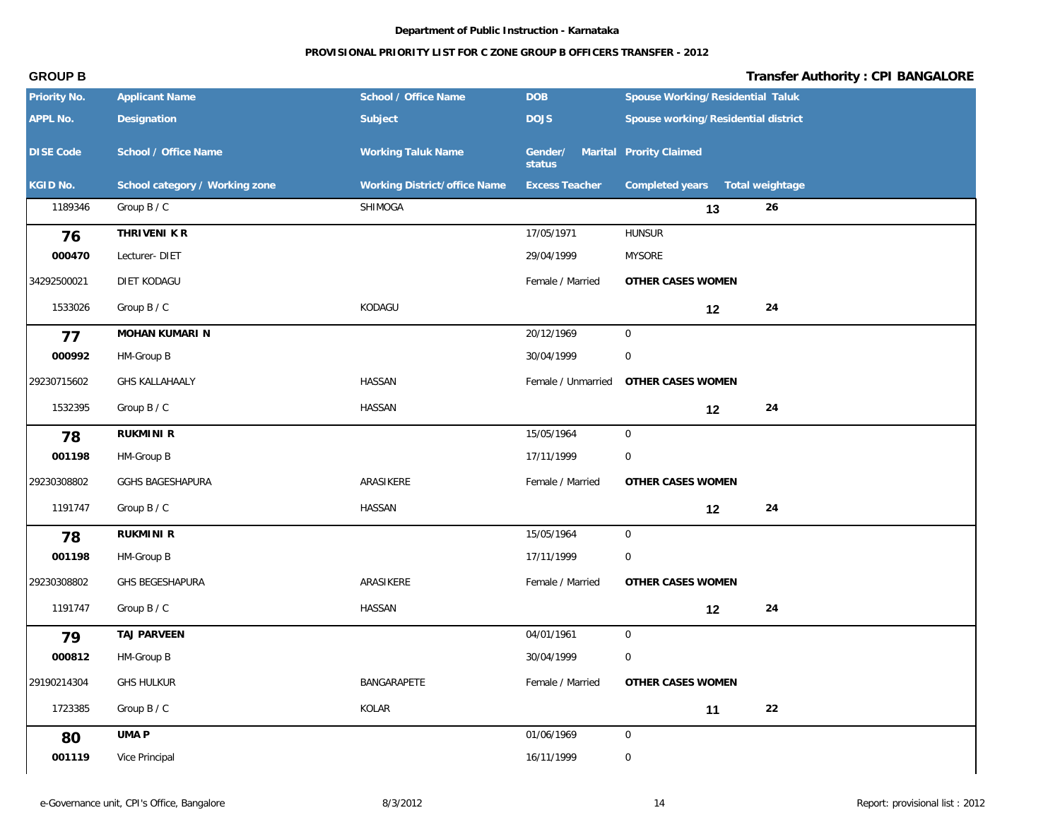### **PROVISIONAL PRIORITY LIST FOR C ZONE GROUP B OFFICERS TRANSFER - 2012**

| APPL No.<br>Designation<br>Subject<br><b>DOJS</b><br>Spouse working/Residential district<br>DISE Code<br>School / Office Name<br><b>Working Taluk Name</b><br>Gender/ Marital Prority Claimed<br>status<br>KGID No.<br>School category / Working zone<br>Working District/office Name<br><b>Excess Teacher</b><br>Completed years<br>Total weightage<br>1189346<br>Group B / C<br>SHIMOGA<br>26<br>13<br>THRIVENI K R<br>17/05/1971<br><b>HUNSUR</b><br>76<br>000470<br>Lecturer-DIET<br>29/04/1999<br><b>MYSORE</b><br>Female / Married<br>34292500021<br>DIET KODAGU<br>OTHER CASES WOMEN<br>Group B / C<br>KODAGU<br>24<br>1533026<br>12<br>20/12/1969<br>$\overline{0}$<br>MOHAN KUMARI N<br>77<br>000992<br>$\mathbf 0$<br>HM-Group B<br>30/04/1999<br>29230715602<br><b>GHS KALLAHAALY</b><br><b>HASSAN</b><br>Female / Unmarried<br>OTHER CASES WOMEN<br>1532395<br>Group B / C<br><b>HASSAN</b><br>24<br>12<br><b>RUKMINI R</b><br>15/05/1964<br>$\overline{0}$<br>78<br>$\boldsymbol{0}$<br>001198<br>HM-Group B<br>17/11/1999<br>GGHS BAGESHAPURA<br>ARASIKERE<br>Female / Married<br>OTHER CASES WOMEN<br>29230308802<br>1191747<br>Group B / C<br>HASSAN<br>24<br>12<br>RUKMINI R<br>15/05/1964<br>$\overline{0}$<br>78<br>$\boldsymbol{0}$<br>001198<br>17/11/1999<br>HM-Group B<br>29230308802<br>GHS BEGESHAPURA<br>ARASIKERE<br>Female / Married<br>OTHER CASES WOMEN<br>1191747<br>Group B / C<br>HASSAN<br>24<br>12<br>TAJ PARVEEN<br>04/01/1961<br>$\overline{0}$<br>79<br>000812<br>$\mathsf{O}\xspace$<br>HM-Group B<br>30/04/1999<br>29190214304<br><b>GHS HULKUR</b><br>BANGARAPETE<br>Female / Married<br>OTHER CASES WOMEN<br>1723385<br>Group B / C<br>KOLAR<br>22<br>11<br>UMA P<br>01/06/1969<br>$\mathsf{O}\xspace$<br>80<br>Vice Principal<br>16/11/1999 | Priority No. | <b>Applicant Name</b> | School / Office Name | <b>DOB</b> | Spouse Working/Residential Taluk |  |
|----------------------------------------------------------------------------------------------------------------------------------------------------------------------------------------------------------------------------------------------------------------------------------------------------------------------------------------------------------------------------------------------------------------------------------------------------------------------------------------------------------------------------------------------------------------------------------------------------------------------------------------------------------------------------------------------------------------------------------------------------------------------------------------------------------------------------------------------------------------------------------------------------------------------------------------------------------------------------------------------------------------------------------------------------------------------------------------------------------------------------------------------------------------------------------------------------------------------------------------------------------------------------------------------------------------------------------------------------------------------------------------------------------------------------------------------------------------------------------------------------------------------------------------------------------------------------------------------------------------------------------------------------------------------------------------------------------------------------------------------------------------------------------------|--------------|-----------------------|----------------------|------------|----------------------------------|--|
|                                                                                                                                                                                                                                                                                                                                                                                                                                                                                                                                                                                                                                                                                                                                                                                                                                                                                                                                                                                                                                                                                                                                                                                                                                                                                                                                                                                                                                                                                                                                                                                                                                                                                                                                                                                        |              |                       |                      |            |                                  |  |
|                                                                                                                                                                                                                                                                                                                                                                                                                                                                                                                                                                                                                                                                                                                                                                                                                                                                                                                                                                                                                                                                                                                                                                                                                                                                                                                                                                                                                                                                                                                                                                                                                                                                                                                                                                                        |              |                       |                      |            |                                  |  |
|                                                                                                                                                                                                                                                                                                                                                                                                                                                                                                                                                                                                                                                                                                                                                                                                                                                                                                                                                                                                                                                                                                                                                                                                                                                                                                                                                                                                                                                                                                                                                                                                                                                                                                                                                                                        |              |                       |                      |            |                                  |  |
|                                                                                                                                                                                                                                                                                                                                                                                                                                                                                                                                                                                                                                                                                                                                                                                                                                                                                                                                                                                                                                                                                                                                                                                                                                                                                                                                                                                                                                                                                                                                                                                                                                                                                                                                                                                        |              |                       |                      |            |                                  |  |
|                                                                                                                                                                                                                                                                                                                                                                                                                                                                                                                                                                                                                                                                                                                                                                                                                                                                                                                                                                                                                                                                                                                                                                                                                                                                                                                                                                                                                                                                                                                                                                                                                                                                                                                                                                                        |              |                       |                      |            |                                  |  |
|                                                                                                                                                                                                                                                                                                                                                                                                                                                                                                                                                                                                                                                                                                                                                                                                                                                                                                                                                                                                                                                                                                                                                                                                                                                                                                                                                                                                                                                                                                                                                                                                                                                                                                                                                                                        |              |                       |                      |            |                                  |  |
|                                                                                                                                                                                                                                                                                                                                                                                                                                                                                                                                                                                                                                                                                                                                                                                                                                                                                                                                                                                                                                                                                                                                                                                                                                                                                                                                                                                                                                                                                                                                                                                                                                                                                                                                                                                        |              |                       |                      |            |                                  |  |
|                                                                                                                                                                                                                                                                                                                                                                                                                                                                                                                                                                                                                                                                                                                                                                                                                                                                                                                                                                                                                                                                                                                                                                                                                                                                                                                                                                                                                                                                                                                                                                                                                                                                                                                                                                                        |              |                       |                      |            |                                  |  |
|                                                                                                                                                                                                                                                                                                                                                                                                                                                                                                                                                                                                                                                                                                                                                                                                                                                                                                                                                                                                                                                                                                                                                                                                                                                                                                                                                                                                                                                                                                                                                                                                                                                                                                                                                                                        |              |                       |                      |            |                                  |  |
|                                                                                                                                                                                                                                                                                                                                                                                                                                                                                                                                                                                                                                                                                                                                                                                                                                                                                                                                                                                                                                                                                                                                                                                                                                                                                                                                                                                                                                                                                                                                                                                                                                                                                                                                                                                        |              |                       |                      |            |                                  |  |
|                                                                                                                                                                                                                                                                                                                                                                                                                                                                                                                                                                                                                                                                                                                                                                                                                                                                                                                                                                                                                                                                                                                                                                                                                                                                                                                                                                                                                                                                                                                                                                                                                                                                                                                                                                                        |              |                       |                      |            |                                  |  |
|                                                                                                                                                                                                                                                                                                                                                                                                                                                                                                                                                                                                                                                                                                                                                                                                                                                                                                                                                                                                                                                                                                                                                                                                                                                                                                                                                                                                                                                                                                                                                                                                                                                                                                                                                                                        |              |                       |                      |            |                                  |  |
|                                                                                                                                                                                                                                                                                                                                                                                                                                                                                                                                                                                                                                                                                                                                                                                                                                                                                                                                                                                                                                                                                                                                                                                                                                                                                                                                                                                                                                                                                                                                                                                                                                                                                                                                                                                        |              |                       |                      |            |                                  |  |
|                                                                                                                                                                                                                                                                                                                                                                                                                                                                                                                                                                                                                                                                                                                                                                                                                                                                                                                                                                                                                                                                                                                                                                                                                                                                                                                                                                                                                                                                                                                                                                                                                                                                                                                                                                                        |              |                       |                      |            |                                  |  |
|                                                                                                                                                                                                                                                                                                                                                                                                                                                                                                                                                                                                                                                                                                                                                                                                                                                                                                                                                                                                                                                                                                                                                                                                                                                                                                                                                                                                                                                                                                                                                                                                                                                                                                                                                                                        |              |                       |                      |            |                                  |  |
|                                                                                                                                                                                                                                                                                                                                                                                                                                                                                                                                                                                                                                                                                                                                                                                                                                                                                                                                                                                                                                                                                                                                                                                                                                                                                                                                                                                                                                                                                                                                                                                                                                                                                                                                                                                        |              |                       |                      |            |                                  |  |
|                                                                                                                                                                                                                                                                                                                                                                                                                                                                                                                                                                                                                                                                                                                                                                                                                                                                                                                                                                                                                                                                                                                                                                                                                                                                                                                                                                                                                                                                                                                                                                                                                                                                                                                                                                                        |              |                       |                      |            |                                  |  |
|                                                                                                                                                                                                                                                                                                                                                                                                                                                                                                                                                                                                                                                                                                                                                                                                                                                                                                                                                                                                                                                                                                                                                                                                                                                                                                                                                                                                                                                                                                                                                                                                                                                                                                                                                                                        |              |                       |                      |            |                                  |  |
|                                                                                                                                                                                                                                                                                                                                                                                                                                                                                                                                                                                                                                                                                                                                                                                                                                                                                                                                                                                                                                                                                                                                                                                                                                                                                                                                                                                                                                                                                                                                                                                                                                                                                                                                                                                        |              |                       |                      |            |                                  |  |
|                                                                                                                                                                                                                                                                                                                                                                                                                                                                                                                                                                                                                                                                                                                                                                                                                                                                                                                                                                                                                                                                                                                                                                                                                                                                                                                                                                                                                                                                                                                                                                                                                                                                                                                                                                                        |              |                       |                      |            |                                  |  |
|                                                                                                                                                                                                                                                                                                                                                                                                                                                                                                                                                                                                                                                                                                                                                                                                                                                                                                                                                                                                                                                                                                                                                                                                                                                                                                                                                                                                                                                                                                                                                                                                                                                                                                                                                                                        |              |                       |                      |            |                                  |  |
|                                                                                                                                                                                                                                                                                                                                                                                                                                                                                                                                                                                                                                                                                                                                                                                                                                                                                                                                                                                                                                                                                                                                                                                                                                                                                                                                                                                                                                                                                                                                                                                                                                                                                                                                                                                        |              |                       |                      |            |                                  |  |
|                                                                                                                                                                                                                                                                                                                                                                                                                                                                                                                                                                                                                                                                                                                                                                                                                                                                                                                                                                                                                                                                                                                                                                                                                                                                                                                                                                                                                                                                                                                                                                                                                                                                                                                                                                                        |              |                       |                      |            |                                  |  |
|                                                                                                                                                                                                                                                                                                                                                                                                                                                                                                                                                                                                                                                                                                                                                                                                                                                                                                                                                                                                                                                                                                                                                                                                                                                                                                                                                                                                                                                                                                                                                                                                                                                                                                                                                                                        |              |                       |                      |            |                                  |  |
|                                                                                                                                                                                                                                                                                                                                                                                                                                                                                                                                                                                                                                                                                                                                                                                                                                                                                                                                                                                                                                                                                                                                                                                                                                                                                                                                                                                                                                                                                                                                                                                                                                                                                                                                                                                        |              |                       |                      |            |                                  |  |
|                                                                                                                                                                                                                                                                                                                                                                                                                                                                                                                                                                                                                                                                                                                                                                                                                                                                                                                                                                                                                                                                                                                                                                                                                                                                                                                                                                                                                                                                                                                                                                                                                                                                                                                                                                                        | 001119       |                       |                      |            | $\boldsymbol{0}$                 |  |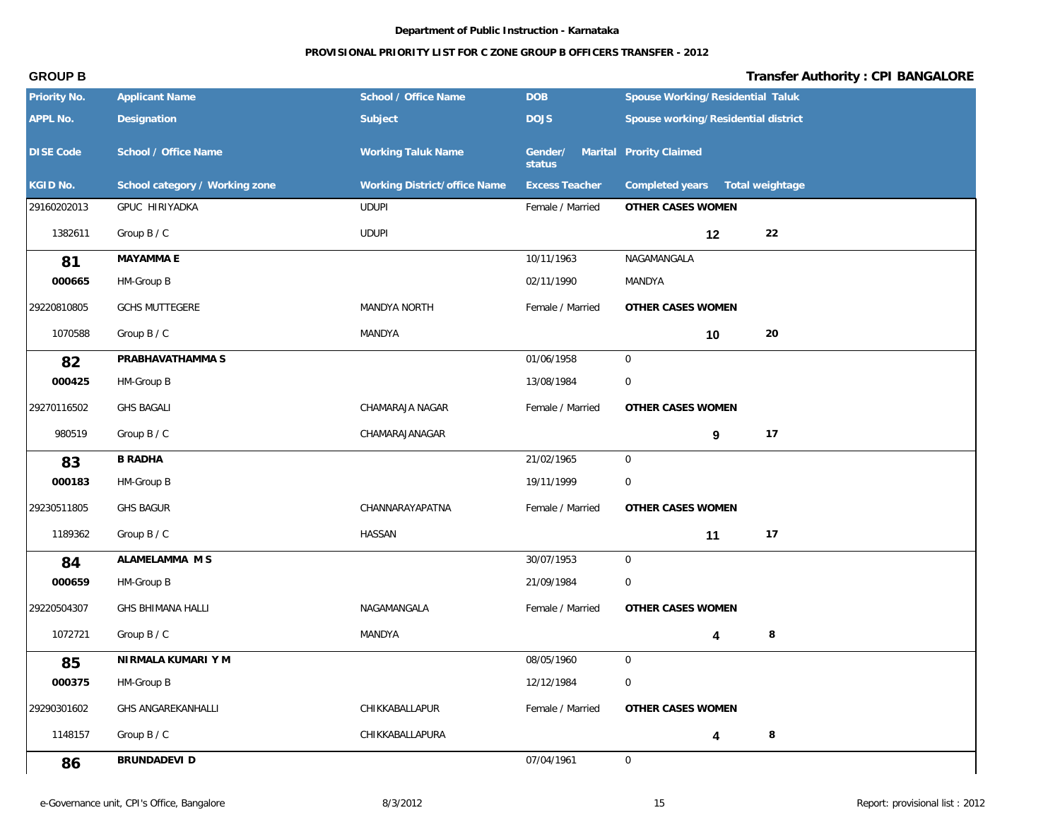### **PROVISIONAL PRIORITY LIST FOR C ZONE GROUP B OFFICERS TRANSFER - 2012**

| Priority No.     | <b>Applicant Name</b>          | School / Office Name         | DOB                                       | Spouse Working/Residential Taluk    |
|------------------|--------------------------------|------------------------------|-------------------------------------------|-------------------------------------|
| APPL No.         | Designation                    | Subject                      | <b>DOJS</b>                               | Spouse working/Residential district |
| <b>DISE Code</b> | School / Office Name           | Working Taluk Name           | Gender/ Marital Prority Claimed<br>status |                                     |
| KGID No.         | School category / Working zone | Working District/office Name | <b>Excess Teacher</b>                     | Completed years<br>Total weightage  |
| 29160202013      | GPUC HIRIYADKA                 | <b>UDUPI</b>                 | Female / Married                          | OTHER CASES WOMEN                   |
| 1382611          | Group B / C                    | <b>UDUPI</b>                 |                                           | 22<br>12                            |
| 81               | MAYAMMA E                      |                              | 10/11/1963                                | NAGAMANGALA                         |
| 000665           | HM-Group B                     |                              | 02/11/1990                                | MANDYA                              |
| 29220810805      | <b>GCHS MUTTEGERE</b>          | MANDYA NORTH                 | Female / Married                          | OTHER CASES WOMEN                   |
| 1070588          | Group B / C                    | MANDYA                       |                                           | 20<br>10                            |
| 82               | PRABHAVATHAMMA S               |                              | 01/06/1958                                | $\mathbf 0$                         |
| 000425           | HM-Group B                     |                              | 13/08/1984                                | $\boldsymbol{0}$                    |
| 29270116502      | <b>GHS BAGALI</b>              | CHAMARAJA NAGAR              | Female / Married                          | OTHER CASES WOMEN                   |
| 980519           | Group B / C                    | CHAMARAJANAGAR               |                                           | 17<br>9                             |
| 83               | <b>B RADHA</b>                 |                              | 21/02/1965                                | $\overline{0}$                      |
| 000183           | HM-Group B                     |                              | 19/11/1999                                | $\mathbf 0$                         |
| 29230511805      | <b>GHS BAGUR</b>               | CHANNARAYAPATNA              | Female / Married                          | OTHER CASES WOMEN                   |
| 1189362          | Group B / C                    | HASSAN                       |                                           | 17<br>11                            |
| 84               | ALAMELAMMA M S                 |                              | 30/07/1953                                | $\mathbf 0$                         |
| 000659           | HM-Group B                     |                              | 21/09/1984                                | $\mathbf 0$                         |
| 29220504307      | <b>GHS BHIMANA HALLI</b>       | NAGAMANGALA                  | Female / Married                          | OTHER CASES WOMEN                   |
| 1072721          | Group B / C                    | MANDYA                       |                                           | 8                                   |
| 85               | NIRMALA KUMARI Y M             |                              | 08/05/1960                                | $\mathbf 0$                         |
| 000375           | HM-Group B                     |                              | 12/12/1984                                | $\boldsymbol{0}$                    |
| 29290301602      | <b>GHS ANGAREKANHALLI</b>      | CHIKKABALLAPUR               | Female / Married                          | OTHER CASES WOMEN                   |
| 1148157          | Group B / C                    | CHIKKABALLAPURA              |                                           | 8<br>4                              |
| 86               | BRUNDADEVI D                   |                              | 07/04/1961                                | $\overline{0}$                      |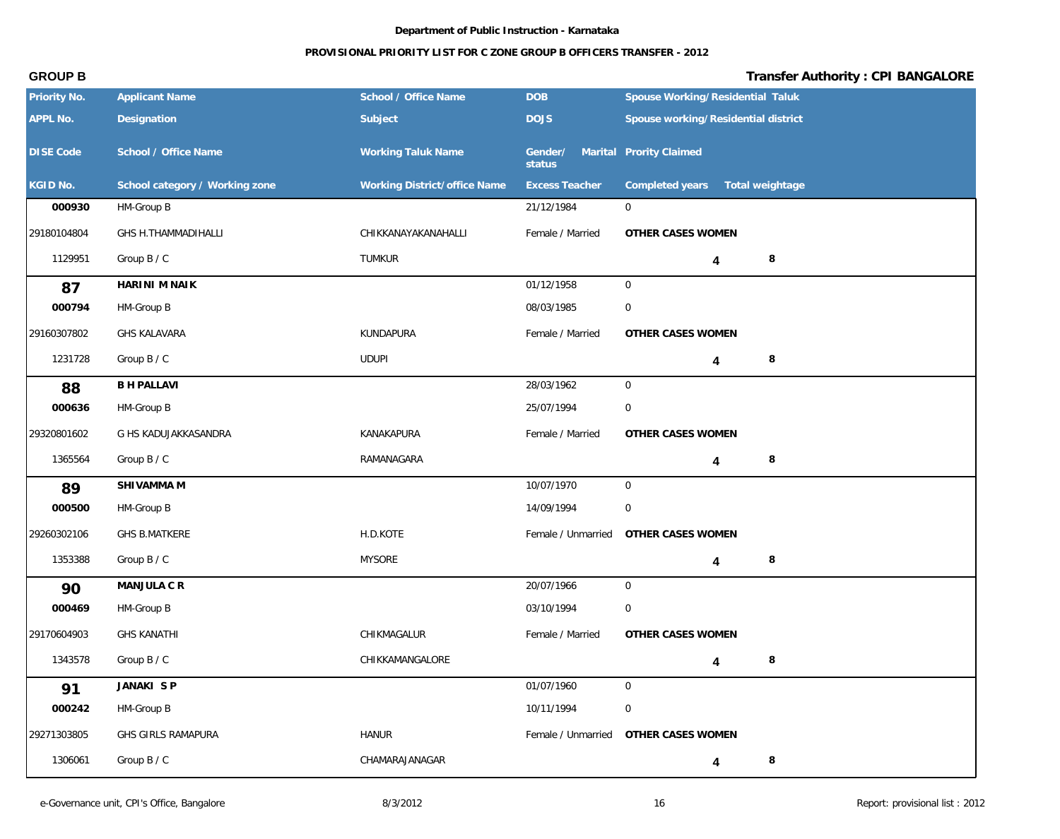## **PROVISIONAL PRIORITY LIST FOR C ZONE GROUP B OFFICERS TRANSFER - 2012**

| Priority No.     | <b>Applicant Name</b>          | School / Office Name         | <b>DOB</b>                                | Spouse Working/Residential Taluk      |
|------------------|--------------------------------|------------------------------|-------------------------------------------|---------------------------------------|
| APPL No.         | Designation                    | Subject                      | <b>DOJS</b>                               | Spouse working/Residential district   |
| <b>DISE Code</b> | School / Office Name           | <b>Working Taluk Name</b>    | Gender/ Marital Prority Claimed<br>status |                                       |
| KGID No.         | School category / Working zone | Working District/office Name | <b>Excess Teacher</b>                     | Completed years<br>Total weightage    |
| 000930           | HM-Group B                     |                              | 21/12/1984                                | $\mathbf 0$                           |
| 29180104804      | GHS H.THAMMADIHALLI            | CHIKKANAYAKANAHALLI          | Female / Married                          | OTHER CASES WOMEN                     |
| 1129951          | Group B / C                    | <b>TUMKUR</b>                |                                           | 8<br>4                                |
| 87               | HARINI M NAIK                  |                              | 01/12/1958                                | $\mathbf 0$                           |
| 000794           | HM-Group B                     |                              | 08/03/1985                                | $\mathbf 0$                           |
| 29160307802      | <b>GHS KALAVARA</b>            | KUNDAPURA                    | Female / Married                          | OTHER CASES WOMEN                     |
| 1231728          | Group B / C                    | <b>UDUPI</b>                 |                                           | 8<br>4                                |
| 88               | <b>B H PALLAVI</b>             |                              | 28/03/1962                                | $\mathsf{O}$                          |
| 000636           | HM-Group B                     |                              | 25/07/1994                                | $\overline{0}$                        |
| 29320801602      | G HS KADUJAKKASANDRA           | KANAKAPURA                   | Female / Married                          | OTHER CASES WOMEN                     |
| 1365564          | Group B / C                    | RAMANAGARA                   |                                           | 8<br>4                                |
| 89               | SHIVAMMA M                     |                              | 10/07/1970                                | $\mathbf 0$                           |
| 000500           | HM-Group B                     |                              | 14/09/1994                                | $\boldsymbol{0}$                      |
| 29260302106      | <b>GHS B.MATKERE</b>           | H.D.KOTE                     | Female / Unmarried                        | OTHER CASES WOMEN                     |
| 1353388          | Group B / C                    | <b>MYSORE</b>                |                                           | 8<br>4                                |
| 90               | MANJULA C R                    |                              | 20/07/1966                                | $\mathsf{O}$                          |
| 000469           | HM-Group B                     |                              | 03/10/1994                                | $\mathbf 0$                           |
| 29170604903      | <b>GHS KANATHI</b>             | CHIKMAGALUR                  | Female / Married                          | OTHER CASES WOMEN                     |
| 1343578          | Group B / C                    | CHIKKAMANGALORE              |                                           | $\,8\,$<br>4                          |
| 91               | JANAKI SP                      |                              | 01/07/1960                                | $\mathbf 0$                           |
| 000242           | HM-Group B                     |                              | 10/11/1994                                | $\overline{0}$                        |
| 29271303805      | GHS GIRLS RAMAPURA             | <b>HANUR</b>                 |                                           | Female / Unmarried  OTHER CASES WOMEN |
| 1306061          | Group B / C                    | CHAMARAJANAGAR               |                                           | 8<br>4                                |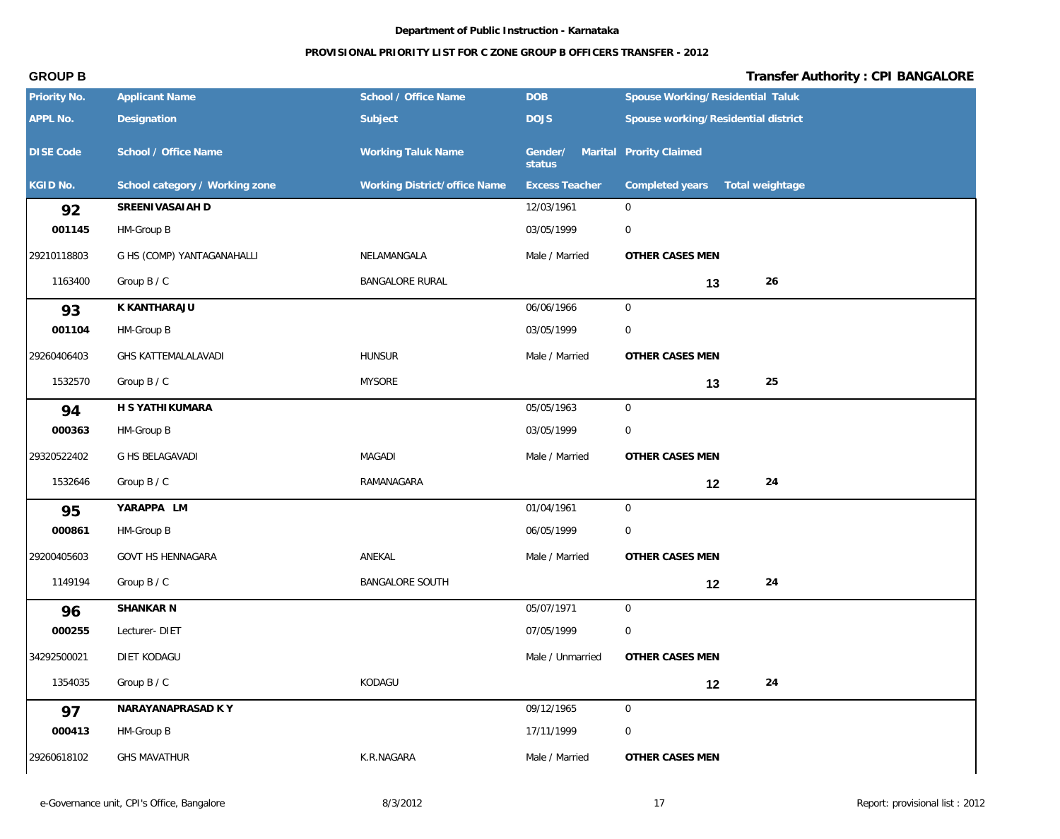| Priority No.     | <b>Applicant Name</b>          | School / Office Name         | <b>DOB</b>            | Spouse Working/Residential Taluk    |                 |
|------------------|--------------------------------|------------------------------|-----------------------|-------------------------------------|-----------------|
| APPL No.         | Designation                    | Subject                      | <b>DOJS</b>           | Spouse working/Residential district |                 |
| <b>DISE Code</b> | School / Office Name           | <b>Working Taluk Name</b>    | Gender/<br>status     | Marital Prority Claimed             |                 |
| KGID No.         | School category / Working zone | Working District/office Name | <b>Excess Teacher</b> | Completed years                     | Total weightage |
| 92               | SREENIVASAIAH D                |                              | 12/03/1961            | $\mathbf 0$                         |                 |
| 001145           | HM-Group B                     |                              | 03/05/1999            | $\mathbf 0$                         |                 |
| 29210118803      | G HS (COMP) YANTAGANAHALLI     | NELAMANGALA                  | Male / Married        | OTHER CASES MEN                     |                 |
| 1163400          | Group B / C                    | <b>BANGALORE RURAL</b>       |                       | 13                                  | 26              |
| 93               | K KANTHARAJU                   |                              | 06/06/1966            | $\mathbf 0$                         |                 |
| 001104           | HM-Group B                     |                              | 03/05/1999            | $\mathbf 0$                         |                 |
| 29260406403      | <b>GHS KATTEMALALAVADI</b>     | <b>HUNSUR</b>                | Male / Married        | OTHER CASES MEN                     |                 |
| 1532570          | Group B / C                    | <b>MYSORE</b>                |                       | 13                                  | 25              |
| 94               | H S YATHI KUMARA               |                              | 05/05/1963            | 0                                   |                 |
| 000363           | HM-Group B                     |                              | 03/05/1999            | 0                                   |                 |
| 29320522402      | G HS BELAGAVADI                | <b>MAGADI</b>                | Male / Married        | OTHER CASES MEN                     |                 |
| 1532646          | Group B / C                    | RAMANAGARA                   |                       | 12                                  | 24              |
| 95               | YARAPPA LM                     |                              | 01/04/1961            | $\overline{0}$                      |                 |
| 000861           | HM-Group B                     |                              | 06/05/1999            | $\mathbf 0$                         |                 |
| 29200405603      | GOVT HS HENNAGARA              | ANEKAL                       | Male / Married        | OTHER CASES MEN                     |                 |
| 1149194          | Group B / C                    | BANGALORE SOUTH              |                       | 12                                  | 24              |
| 96               | SHANKAR N                      |                              | 05/07/1971            | $\mathbf 0$                         |                 |
| 000255           | Lecturer-DIET                  |                              | 07/05/1999            | 0                                   |                 |
| 34292500021      | DIET KODAGU                    |                              | Male / Unmarried      | OTHER CASES MEN                     |                 |
| 1354035          | Group B / C                    | KODAGU                       |                       | 12                                  | 24              |
| 97               | NARAYANAPRASAD K Y             |                              | 09/12/1965            | $\mathsf{O}$                        |                 |
| 000413           | HM-Group B                     |                              | 17/11/1999            | $\mathbf 0$                         |                 |
| 29260618102      | <b>GHS MAVATHUR</b>            | K.R.NAGARA                   | Male / Married        | OTHER CASES MEN                     |                 |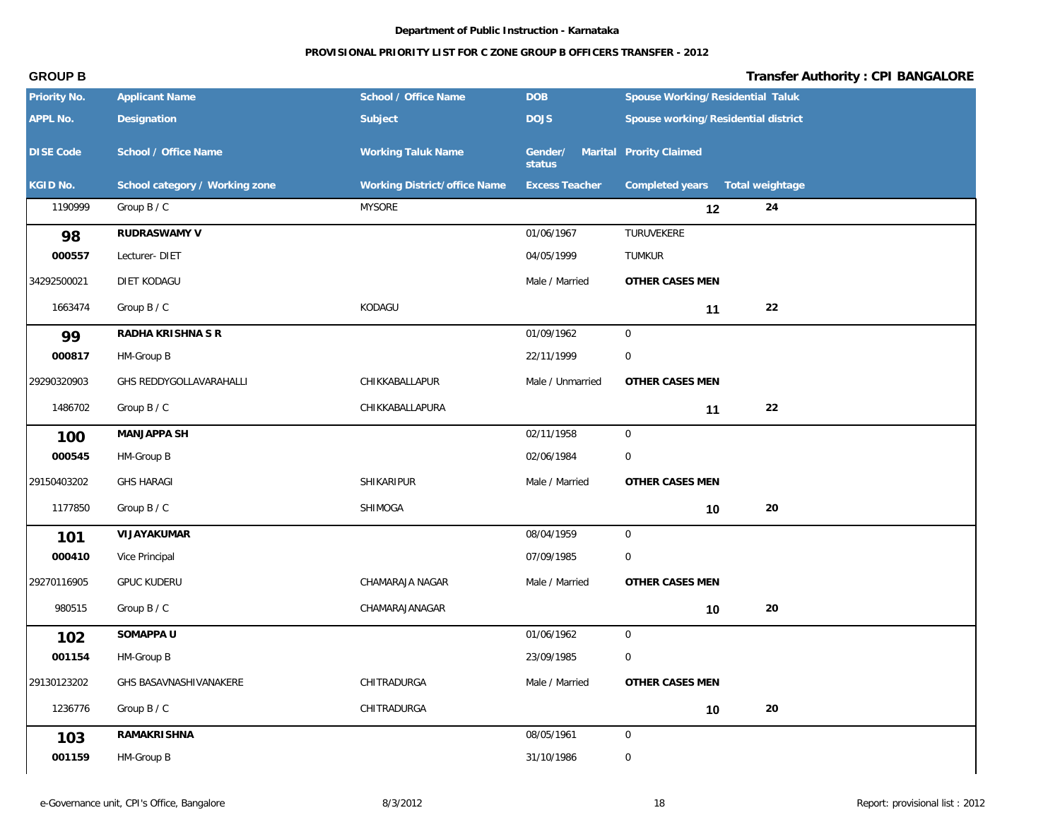### **PROVISIONAL PRIORITY LIST FOR C ZONE GROUP B OFFICERS TRANSFER - 2012**

| Priority No.     | <b>Applicant Name</b>          | School / Office Name         | <b>DOB</b>                                | Spouse Working/Residential Taluk    |
|------------------|--------------------------------|------------------------------|-------------------------------------------|-------------------------------------|
| APPL No.         | Designation                    | Subject                      | <b>DOJS</b>                               | Spouse working/Residential district |
| <b>DISE Code</b> | School / Office Name           | <b>Working Taluk Name</b>    | Gender/ Marital Prority Claimed<br>status |                                     |
| KGID No.         | School category / Working zone | Working District/office Name | <b>Excess Teacher</b>                     | Completed years<br>Total weightage  |
| 1190999          | Group B / C                    | <b>MYSORE</b>                |                                           | 24<br>12                            |
| 98               | RUDRASWAMY V                   |                              | 01/06/1967                                | TURUVEKERE                          |
| 000557           | Lecturer-DIET                  |                              | 04/05/1999                                | TUMKUR                              |
| 34292500021      | DIET KODAGU                    |                              | Male / Married                            | OTHER CASES MEN                     |
| 1663474          | Group B / C                    | KODAGU                       |                                           | 22<br>11                            |
| 99               | RADHA KRISHNA S R              |                              | 01/09/1962                                | $\overline{0}$                      |
| 000817           | HM-Group B                     |                              | 22/11/1999                                | $\mathbf 0$                         |
| 29290320903      | GHS REDDYGOLLAVARAHALLI        | CHIKKABALLAPUR               | Male / Unmarried                          | OTHER CASES MEN                     |
| 1486702          | Group B / C                    | CHIKKABALLAPURA              |                                           | 22<br>11                            |
| 100              | MANJAPPA SH                    |                              | 02/11/1958                                | $\overline{0}$                      |
| 000545           | HM-Group B                     |                              | 02/06/1984                                | $\boldsymbol{0}$                    |
| 29150403202      | <b>GHS HARAGI</b>              | SHIKARIPUR                   | Male / Married                            | OTHER CASES MEN                     |
| 1177850          | Group B / C                    | SHIMOGA                      |                                           | 20<br>10                            |
| 101              | VIJAYAKUMAR                    |                              | 08/04/1959                                | $\overline{0}$                      |
| 000410           | Vice Principal                 |                              | 07/09/1985                                | $\boldsymbol{0}$                    |
| 29270116905      | <b>GPUC KUDERU</b>             | CHAMARAJA NAGAR              | Male / Married                            | OTHER CASES MEN                     |
| 980515           | Group B / C                    | CHAMARAJANAGAR               |                                           | 20<br>10                            |
| 102              | SOMAPPA U                      |                              | 01/06/1962                                | $\overline{0}$                      |
| 001154           | HM-Group B                     |                              | 23/09/1985                                | $\mathsf{O}\xspace$                 |
| 29130123202      | GHS BASAVNASHIVANAKERE         | CHITRADURGA                  | Male / Married                            | OTHER CASES MEN                     |
| 1236776          | Group B / C                    | CHITRADURGA                  |                                           | 20<br>10                            |
| 103              | <b>RAMAKRISHNA</b>             |                              | 08/05/1961                                | $\mathsf{O}\xspace$                 |
| 001159           | HM-Group B                     |                              | 31/10/1986                                | $\boldsymbol{0}$                    |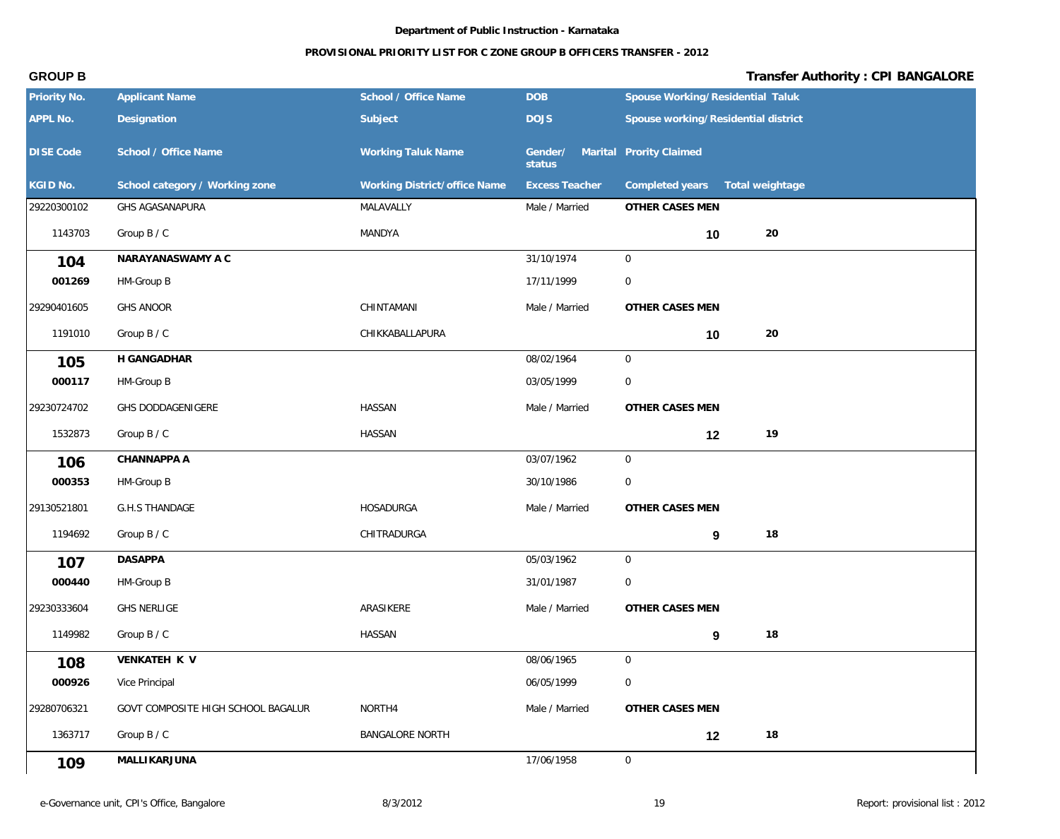## **PROVISIONAL PRIORITY LIST FOR C ZONE GROUP B OFFICERS TRANSFER - 2012**

| Priority No.     | <b>Applicant Name</b>              | School / Office Name         | <b>DOB</b>                                | Spouse Working/Residential Taluk    |  |
|------------------|------------------------------------|------------------------------|-------------------------------------------|-------------------------------------|--|
| APPL No.         | Designation                        | Subject                      | <b>DOJS</b>                               | Spouse working/Residential district |  |
| <b>DISE Code</b> | School / Office Name               | <b>Working Taluk Name</b>    | Gender/ Marital Prority Claimed<br>status |                                     |  |
| KGID No.         | School category / Working zone     | Working District/office Name | <b>Excess Teacher</b>                     | Completed years<br>Total weightage  |  |
| 29220300102      | GHS AGASANAPURA                    | MALAVALLY                    | Male / Married                            | OTHER CASES MEN                     |  |
| 1143703          | Group B / C                        | MANDYA                       |                                           | 20<br>10                            |  |
| 104              | NARAYANASWAMY A C                  |                              | 31/10/1974                                | $\overline{0}$                      |  |
| 001269           | HM-Group B                         |                              | 17/11/1999                                | $\overline{0}$                      |  |
| 29290401605      | <b>GHS ANOOR</b>                   | CHINTAMANI                   | Male / Married                            | OTHER CASES MEN                     |  |
| 1191010          | Group B / C                        | CHIKKABALLAPURA              |                                           | 20<br>10                            |  |
| 105              | H GANGADHAR                        |                              | 08/02/1964                                | $\overline{0}$                      |  |
| 000117           | HM-Group B                         |                              | 03/05/1999                                | $\overline{0}$                      |  |
| 29230724702      | GHS DODDAGENIGERE                  | HASSAN                       | Male / Married                            | OTHER CASES MEN                     |  |
| 1532873          | Group B / C                        | <b>HASSAN</b>                |                                           | 19<br>12                            |  |
| 106              | CHANNAPPA A                        |                              | 03/07/1962                                | $\overline{0}$                      |  |
| 000353           | HM-Group B                         |                              | 30/10/1986                                | $\overline{0}$                      |  |
| 29130521801      | <b>G.H.S THANDAGE</b>              | HOSADURGA                    | Male / Married                            | OTHER CASES MEN                     |  |
| 1194692          | Group B / C                        | CHITRADURGA                  |                                           | 18<br>9                             |  |
| 107              | <b>DASAPPA</b>                     |                              | 05/03/1962                                | $\overline{0}$                      |  |
| 000440           | HM-Group B                         |                              | 31/01/1987                                | $\overline{0}$                      |  |
| 29230333604      | <b>GHS NERLIGE</b>                 | ARASIKERE                    | Male / Married                            | OTHER CASES MEN                     |  |
| 1149982          | Group B / C                        | HASSAN                       |                                           | 18<br>9                             |  |
| 108              | VENKATEH K V                       |                              | 08/06/1965                                | $\overline{0}$                      |  |
| 000926           | Vice Principal                     |                              | 06/05/1999                                | $\boldsymbol{0}$                    |  |
| 29280706321      | GOVT COMPOSITE HIGH SCHOOL BAGALUR | NORTH4                       | Male / Married                            | OTHER CASES MEN                     |  |
| 1363717          | Group B / C                        | <b>BANGALORE NORTH</b>       |                                           | 18<br>12                            |  |
| 109              | <b>MALLIKARJUNA</b>                |                              | 17/06/1958                                | $\overline{0}$                      |  |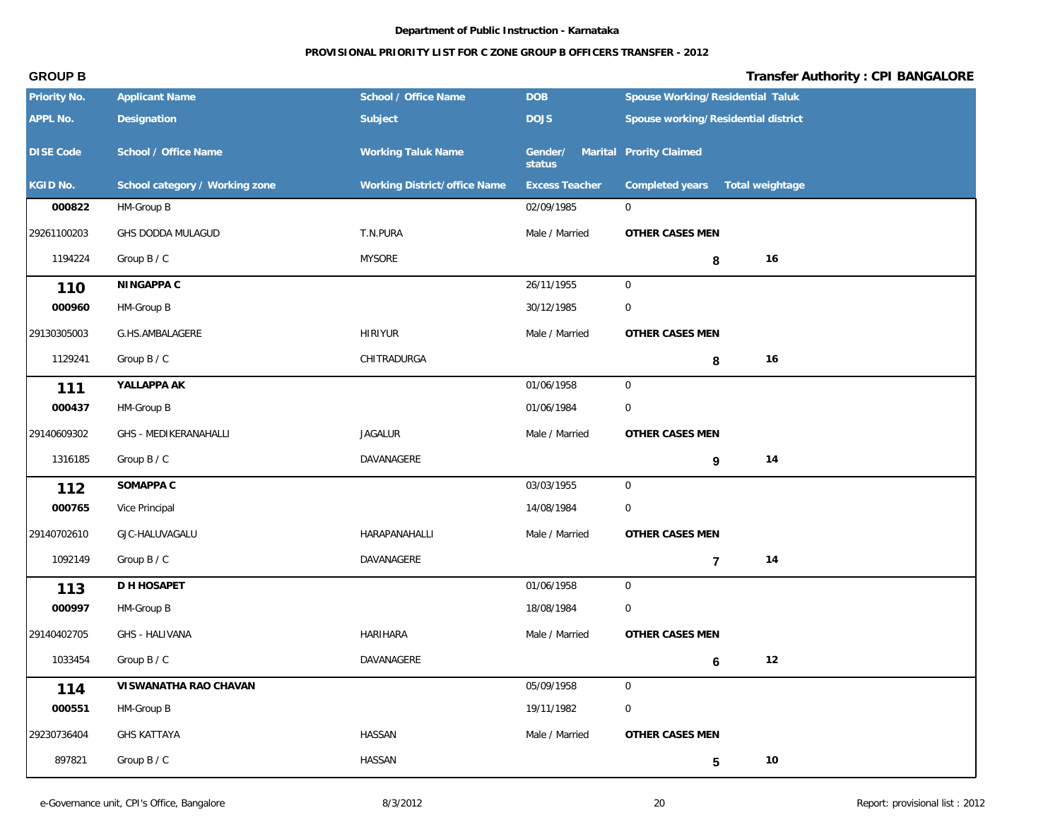## **PROVISIONAL PRIORITY LIST FOR C ZONE GROUP B OFFICERS TRANSFER - 2012**

| Priority No.     | <b>Applicant Name</b>          | School / Office Name         | <b>DOB</b>                                | Spouse Working/Residential Taluk    |
|------------------|--------------------------------|------------------------------|-------------------------------------------|-------------------------------------|
| APPL No.         | Designation                    | Subject                      | <b>DOJS</b>                               | Spouse working/Residential district |
| <b>DISE Code</b> | School / Office Name           | <b>Working Taluk Name</b>    | Gender/ Marital Prority Claimed<br>status |                                     |
| KGID No.         | School category / Working zone | Working District/office Name | <b>Excess Teacher</b>                     | Completed years<br>Total weightage  |
| 000822           | HM-Group B                     |                              | 02/09/1985                                | $\mathbf 0$                         |
| 29261100203      | GHS DODDA MULAGUD              | T.N.PURA                     | Male / Married                            | OTHER CASES MEN                     |
| 1194224          | Group B / C                    | <b>MYSORE</b>                |                                           | 16<br>8                             |
| 110              | NINGAPPA C                     |                              | 26/11/1955                                | $\overline{0}$                      |
| 000960           | HM-Group B                     |                              | 30/12/1985                                | $\mathbf 0$                         |
| 29130305003      | G.HS.AMBALAGERE                | <b>HIRIYUR</b>               | Male / Married                            | OTHER CASES MEN                     |
| 1129241          | Group B / C                    | CHITRADURGA                  |                                           | 16<br>8                             |
| 111              | YALLAPPA AK                    |                              | 01/06/1958                                | $\overline{0}$                      |
| 000437           | HM-Group B                     |                              | 01/06/1984                                | $\mathbf 0$                         |
| 29140609302      | GHS - MEDIKERANAHALLI          | <b>JAGALUR</b>               | Male / Married                            | OTHER CASES MEN                     |
| 1316185          | Group B / C                    | DAVANAGERE                   |                                           | 14<br>$\boldsymbol{9}$              |
| 112              | SOMAPPA C                      |                              | 03/03/1955                                | $\overline{0}$                      |
| 000765           | Vice Principal                 |                              | 14/08/1984                                | 0                                   |
| 29140702610      | GJC-HALUVAGALU                 | HARAPANAHALLI                | Male / Married                            | OTHER CASES MEN                     |
| 1092149          | Group B / C                    | DAVANAGERE                   |                                           | 14<br>$\overline{7}$                |
| 113              | D H HOSAPET                    |                              | 01/06/1958                                | $\overline{0}$                      |
| 000997           | HM-Group B                     |                              | 18/08/1984                                | $\mathbf 0$                         |
| 29140402705      | GHS - HALIVANA                 | HARIHARA                     | Male / Married                            | OTHER CASES MEN                     |
| 1033454          | Group B / C                    | DAVANAGERE                   |                                           | 12<br>$6\phantom{1}$                |
| 114              | VISWANATHA RAO CHAVAN          |                              | 05/09/1958                                | $\overline{0}$                      |
| 000551           | HM-Group B                     |                              | 19/11/1982                                | $\mathsf{O}\xspace$                 |
| 29230736404      | <b>GHS KATTAYA</b>             | HASSAN                       | Male / Married                            | OTHER CASES MEN                     |
| 897821           | Group B / C                    | HASSAN                       |                                           | $10$<br>$\overline{\mathbf{5}}$     |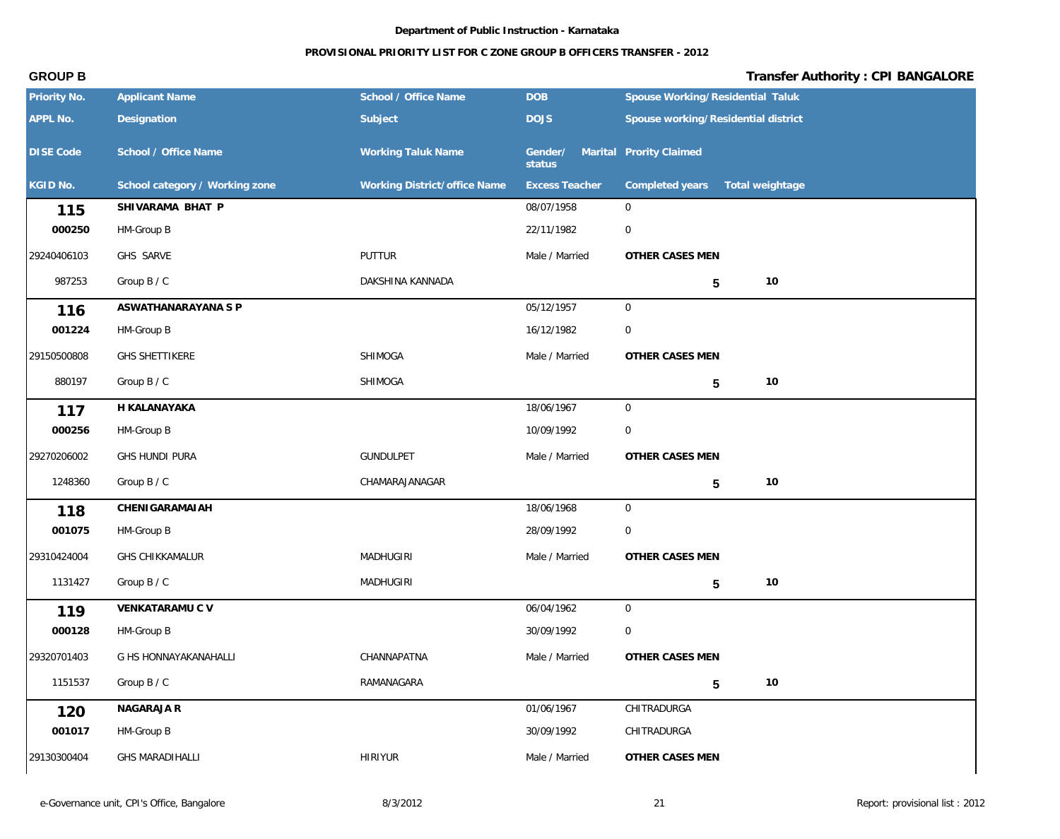### **PROVISIONAL PRIORITY LIST FOR C ZONE GROUP B OFFICERS TRANSFER - 2012**

| Priority No.     | <b>Applicant Name</b>          | School / Office Name         | <b>DOB</b>            | Spouse Working/Residential Taluk    |
|------------------|--------------------------------|------------------------------|-----------------------|-------------------------------------|
| APPL No.         | Designation                    | Subject                      | <b>DOJS</b>           | Spouse working/Residential district |
| <b>DISE Code</b> | School / Office Name           | <b>Working Taluk Name</b>    | Gender/<br>status     | Marital Prority Claimed             |
| KGID No.         | School category / Working zone | Working District/office Name | <b>Excess Teacher</b> | Completed years<br>Total weightage  |
| 115              | SHIVARAMA BHAT P               |                              | 08/07/1958            | $\mathbf 0$                         |
| 000250           | HM-Group B                     |                              | 22/11/1982            | $\mathbf 0$                         |
| 29240406103      | GHS SARVE                      | PUTTUR                       | Male / Married        | OTHER CASES MEN                     |
| 987253           | Group B / C                    | DAKSHINA KANNADA             |                       | $10$<br>$\sqrt{5}$                  |
| 116              | ASWATHANARAYANA S P            |                              | 05/12/1957            | $\mathbf 0$                         |
| 001224           | HM-Group B                     |                              | 16/12/1982            | $\mathbf 0$                         |
| 29150500808      | <b>GHS SHETTIKERE</b>          | SHIMOGA                      | Male / Married        | OTHER CASES MEN                     |
| 880197           | Group B / C                    | SHIMOGA                      |                       | $10$<br>$5\phantom{.0}$             |
| 117              | H KALANAYAKA                   |                              | 18/06/1967            | 0                                   |
| 000256           | HM-Group B                     |                              | 10/09/1992            | 0                                   |
| 29270206002      | GHS HUNDI PURA                 | GUNDULPET                    | Male / Married        | OTHER CASES MEN                     |
| 1248360          | Group B / C                    | CHAMARAJANAGAR               |                       | $10$<br>5                           |
| 118              | CHENIGARAMAIAH                 |                              | 18/06/1968            | $\overline{0}$                      |
| 001075           | HM-Group B                     |                              | 28/09/1992            | $\mathbf 0$                         |
| 29310424004      | <b>GHS CHIKKAMALUR</b>         | <b>MADHUGIRI</b>             | Male / Married        | OTHER CASES MEN                     |
| 1131427          | Group B / C                    | MADHUGIRI                    |                       | 10<br>$5\phantom{.0}$               |
| 119              | VENKATARAMU C V                |                              | 06/04/1962            | $\mathbf 0$                         |
| 000128           | HM-Group B                     |                              | 30/09/1992            | 0                                   |
| 29320701403      | G HS HONNAYAKANAHALLI          | CHANNAPATNA                  | Male / Married        | OTHER CASES MEN                     |
| 1151537          | Group B / C                    | RAMANAGARA                   |                       | 10<br>$5\phantom{.0}$               |
| 120              | NAGARAJA R                     |                              | 01/06/1967            | CHITRADURGA                         |
| 001017           | HM-Group B                     |                              | 30/09/1992            | CHITRADURGA                         |
| 29130300404      | <b>GHS MARADIHALLI</b>         | <b>HIRIYUR</b>               | Male / Married        | OTHER CASES MEN                     |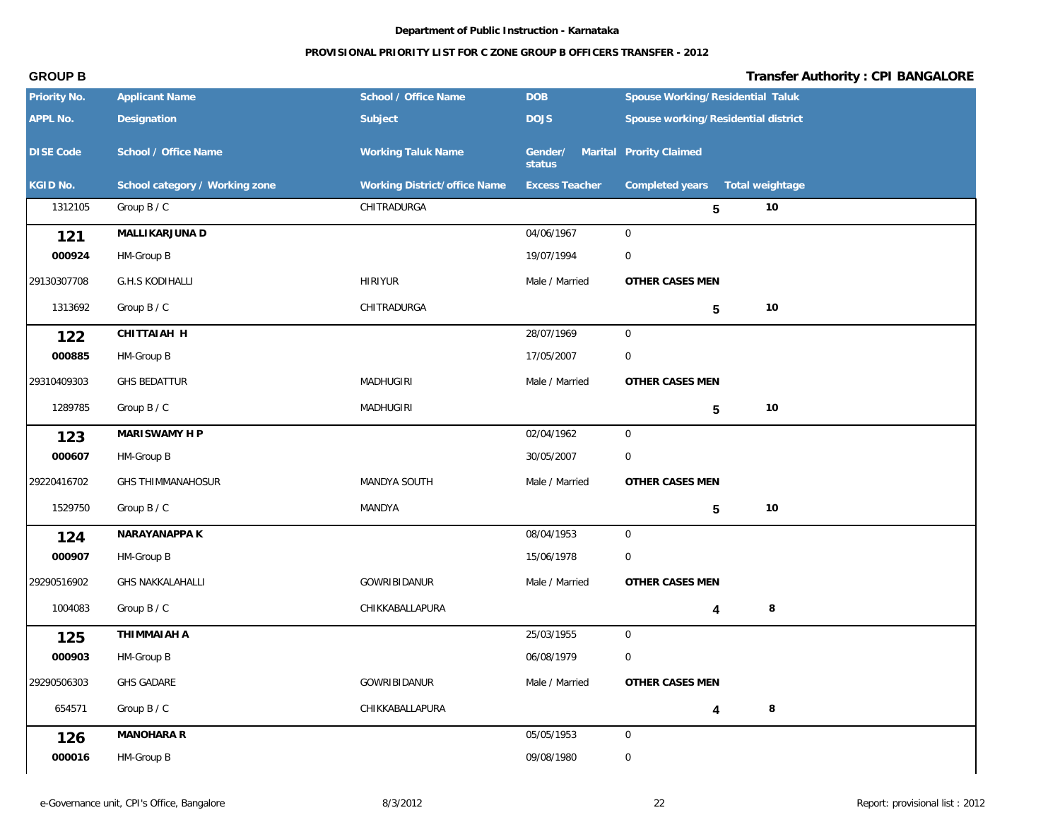### **PROVISIONAL PRIORITY LIST FOR C ZONE GROUP B OFFICERS TRANSFER - 2012**

| Priority No.     | <b>Applicant Name</b>          | School / Office Name         | <b>DOB</b>            | Spouse Working/Residential Taluk    |
|------------------|--------------------------------|------------------------------|-----------------------|-------------------------------------|
| APPL No.         | Designation                    | Subject                      | <b>DOJS</b>           | Spouse working/Residential district |
| <b>DISE Code</b> | School / Office Name           | <b>Working Taluk Name</b>    | Gender/<br>status     | Marital Prority Claimed             |
| KGID No.         | School category / Working zone | Working District/office Name | <b>Excess Teacher</b> | Completed years  Total weightage    |
| 1312105          | Group B / C                    | CHITRADURGA                  |                       | 10<br>5                             |
| 121              | MALLIKARJUNA D                 |                              | 04/06/1967            | $\overline{0}$                      |
| 000924           | HM-Group B                     |                              | 19/07/1994            | $\overline{0}$                      |
| 29130307708      | <b>G.H.S KODIHALLI</b>         | <b>HIRIYUR</b>               | Male / Married        | OTHER CASES MEN                     |
| 1313692          | Group B / C                    | CHITRADURGA                  |                       | 10<br>5                             |
| 122              | CHITTAIAH H                    |                              | 28/07/1969            | $\overline{0}$                      |
| 000885           | HM-Group B                     |                              | 17/05/2007            | $\overline{0}$                      |
| 29310409303      | <b>GHS BEDATTUR</b>            | MADHUGIRI                    | Male / Married        | OTHER CASES MEN                     |
| 1289785          | Group B / C                    | MADHUGIRI                    |                       | 10<br>5                             |
| 123              | MARISWAMY H P                  |                              | 02/04/1962            | $\overline{0}$                      |
| 000607           | HM-Group B                     |                              | 30/05/2007            | $\mathbf 0$                         |
| 29220416702      | <b>GHS THIMMANAHOSUR</b>       | MANDYA SOUTH                 | Male / Married        | OTHER CASES MEN                     |
| 1529750          | Group B / C                    | MANDYA                       |                       | 10<br>5                             |
| 124              | NARAYANAPPA K                  |                              | 08/04/1953            | $\overline{0}$                      |
| 000907           | HM-Group B                     |                              | 15/06/1978            | $\overline{0}$                      |
| 29290516902      | <b>GHS NAKKALAHALLI</b>        | GOWRIBIDANUR                 | Male / Married        | OTHER CASES MEN                     |
| 1004083          | Group B / C                    | CHIKKABALLAPURA              |                       | $\,8\,$<br>4                        |
| 125              | THIMMAIAH A                    |                              | 25/03/1955            | $\overline{0}$                      |
| 000903           | HM-Group B                     |                              | 06/08/1979            | $\boldsymbol{0}$                    |
| 29290506303      | <b>GHS GADARE</b>              | GOWRIBIDANUR                 | Male / Married        | OTHER CASES MEN                     |
| 654571           | Group B / C                    | CHIKKABALLAPURA              |                       | $\,8\,$<br>4                        |
| 126              | MANOHARA R                     |                              | 05/05/1953            | $\overline{0}$                      |
| 000016           | HM-Group B                     |                              | 09/08/1980            | $\boldsymbol{0}$                    |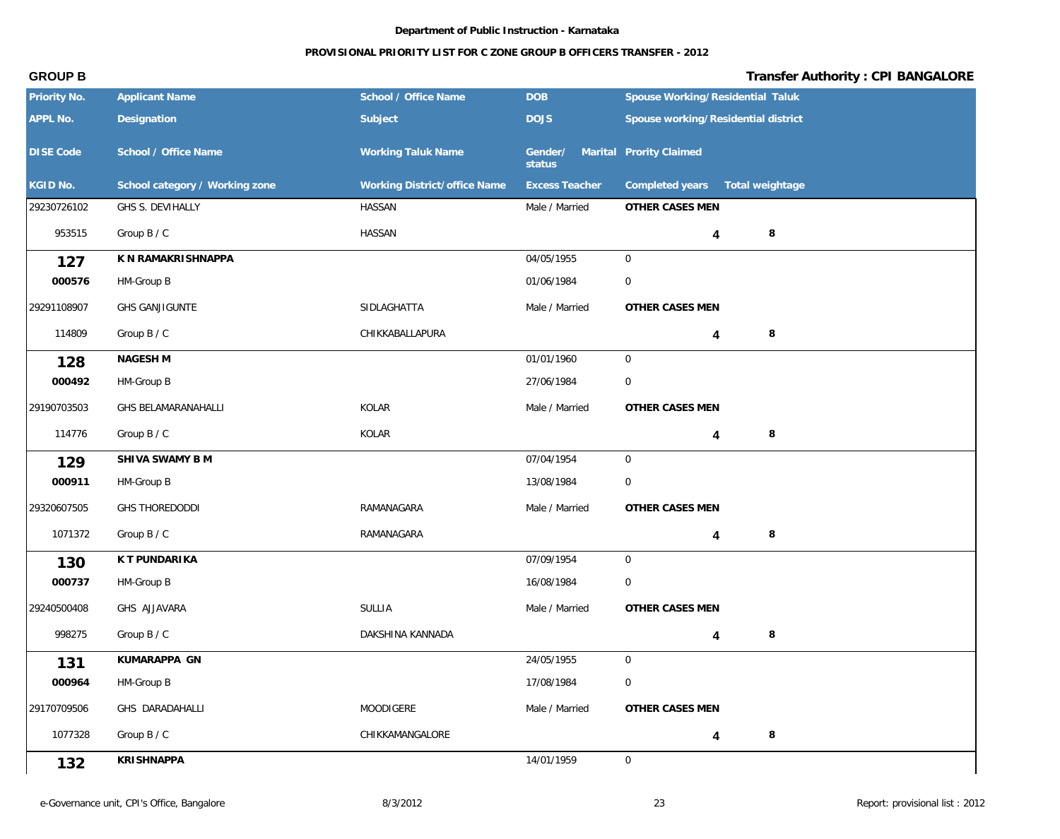### **PROVISIONAL PRIORITY LIST FOR C ZONE GROUP B OFFICERS TRANSFER - 2012**

| Priority No.     | <b>Applicant Name</b>          | School / Office Name         | <b>DOB</b>                                | Spouse Working/Residential Taluk    |
|------------------|--------------------------------|------------------------------|-------------------------------------------|-------------------------------------|
| APPL No.         | Designation                    | Subject                      | <b>DOJS</b>                               | Spouse working/Residential district |
| <b>DISE Code</b> | School / Office Name           | <b>Working Taluk Name</b>    | Gender/ Marital Prority Claimed<br>status |                                     |
| KGID No.         | School category / Working zone | Working District/office Name | <b>Excess Teacher</b>                     | Completed years<br>Total weightage  |
| 29230726102      | GHS S. DEVIHALLY               | HASSAN                       | Male / Married                            | OTHER CASES MEN                     |
| 953515           | Group B / C                    | HASSAN                       |                                           | 8<br>4                              |
| 127              | K N RAMAKRISHNAPPA             |                              | 04/05/1955                                | $\overline{0}$                      |
| 000576           | HM-Group B                     |                              | 01/06/1984                                | $\mathbf 0$                         |
| 29291108907      | GHS GANJIGUNTE                 | SIDLAGHATTA                  | Male / Married                            | OTHER CASES MEN                     |
| 114809           | Group B / C                    | CHIKKABALLAPURA              |                                           | 8<br>4                              |
| 128              | NAGESH M                       |                              | 01/01/1960                                | $\mathbf 0$                         |
| 000492           | HM-Group B                     |                              | 27/06/1984                                | $\mathbf 0$                         |
| 29190703503      | GHS BELAMARANAHALLI            | KOLAR                        | Male / Married                            | OTHER CASES MEN                     |
| 114776           | Group B / C                    | KOLAR                        |                                           | $\,8\,$<br>4                        |
| 129              | SHIVA SWAMY B M                |                              | 07/04/1954                                | $\overline{0}$                      |
| 000911           | HM-Group B                     |                              | 13/08/1984                                | $\mathbf 0$                         |
| 29320607505      | GHS THOREDODDI                 | RAMANAGARA                   | Male / Married                            | OTHER CASES MEN                     |
| 1071372          | Group B / C                    | RAMANAGARA                   |                                           | 8<br>4                              |
| 130              | K T PUNDARIKA                  |                              | 07/09/1954                                | $\mathbf 0$                         |
| 000737           | HM-Group B                     |                              | 16/08/1984                                | 0                                   |
| 29240500408      | GHS AJJAVARA                   | SULLIA                       | Male / Married                            | OTHER CASES MEN                     |
| 998275           | Group B / C                    | DAKSHINA KANNADA             |                                           | 8                                   |
| 131              | KUMARAPPA GN                   |                              | 24/05/1955                                | $\mathsf{O}$                        |
| 000964           | HM-Group B                     |                              | 17/08/1984                                | $\boldsymbol{0}$                    |
| 29170709506      | GHS DARADAHALLI                | MOODIGERE                    | Male / Married                            | OTHER CASES MEN                     |
| 1077328          | Group B / C                    | CHIKKAMANGALORE              |                                           | $\,8\,$<br>4                        |
| 132              | <b>KRISHNAPPA</b>              |                              | 14/01/1959                                | $\mathbf 0$                         |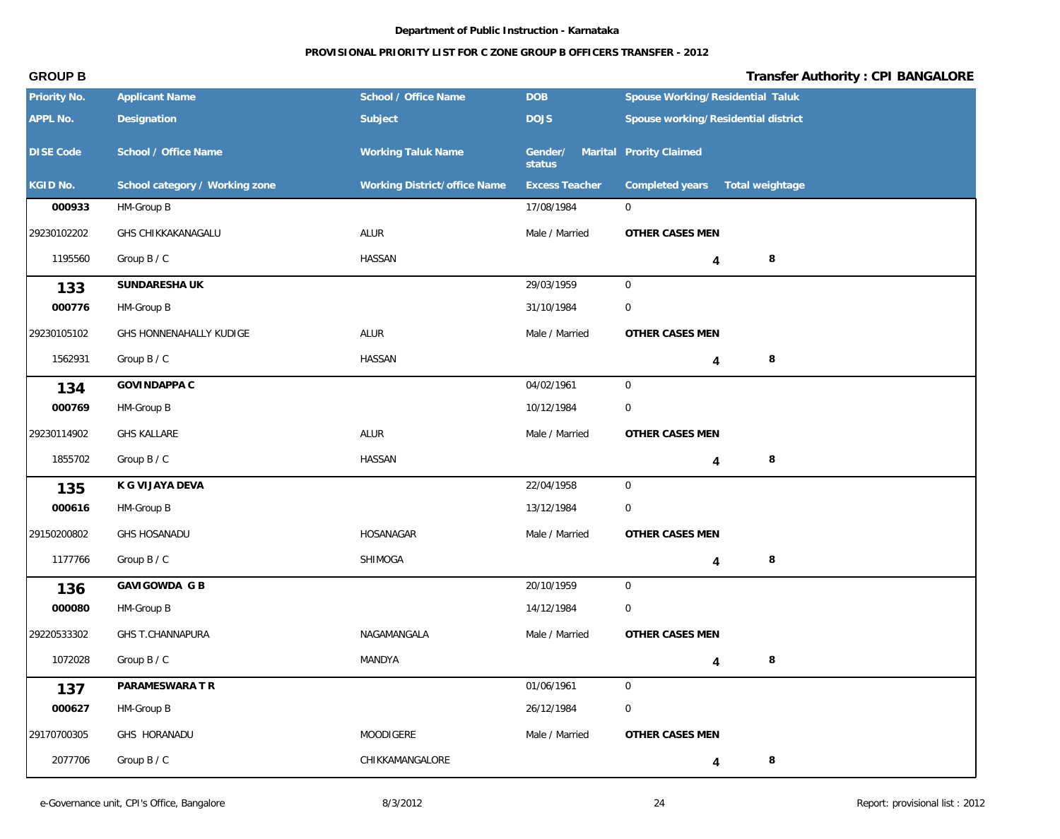## **PROVISIONAL PRIORITY LIST FOR C ZONE GROUP B OFFICERS TRANSFER - 2012**

| Priority No.     | <b>Applicant Name</b>          | School / Office Name         | <b>DOB</b>                                | Spouse Working/Residential Taluk    |
|------------------|--------------------------------|------------------------------|-------------------------------------------|-------------------------------------|
| APPL No.         | Designation                    | Subject                      | <b>DOJS</b>                               | Spouse working/Residential district |
| <b>DISE Code</b> | School / Office Name           | <b>Working Taluk Name</b>    | Gender/ Marital Prority Claimed<br>status |                                     |
| KGID No.         | School category / Working zone | Working District/office Name | <b>Excess Teacher</b>                     | Completed years<br>Total weightage  |
| 000933           | HM-Group B                     |                              | 17/08/1984                                | $\overline{0}$                      |
| 29230102202      | GHS CHIKKAKANAGALU             | ALUR                         | Male / Married                            | OTHER CASES MEN                     |
| 1195560          | Group B / C                    | <b>HASSAN</b>                |                                           | 8<br>4                              |
| 133              | SUNDARESHA UK                  |                              | 29/03/1959                                | $\mathbf 0$                         |
| 000776           | HM-Group B                     |                              | 31/10/1984                                | $\mathbf 0$                         |
| 29230105102      | GHS HONNENAHALLY KUDIGE        | ALUR                         | Male / Married                            | OTHER CASES MEN                     |
| 1562931          | Group B / C                    | <b>HASSAN</b>                |                                           | 8<br>4                              |
| 134              | GOVINDAPPA C                   |                              | 04/02/1961                                | $\mathsf{O}$                        |
| 000769           | HM-Group B                     |                              | 10/12/1984                                | 0                                   |
| 29230114902      | <b>GHS KALLARE</b>             | ALUR                         | Male / Married                            | OTHER CASES MEN                     |
| 1855702          | Group B / C                    | <b>HASSAN</b>                |                                           | $\, 8$<br>4                         |
| 135              | K G VIJAYA DEVA                |                              | 22/04/1958                                | $\mathbf 0$                         |
| 000616           | HM-Group B                     |                              | 13/12/1984                                | $\overline{0}$                      |
| 29150200802      | <b>GHS HOSANADU</b>            | HOSANAGAR                    | Male / Married                            | OTHER CASES MEN                     |
| 1177766          | Group B / C                    | SHIMOGA                      |                                           | 8<br>4                              |
| 136              | GAVIGOWDA G B                  |                              | 20/10/1959                                | $\mathsf{O}$                        |
| 000080           | HM-Group B                     |                              | 14/12/1984                                | $\mathbf 0$                         |
| 29220533302      | GHS T.CHANNAPURA               | NAGAMANGALA                  | Male / Married                            | OTHER CASES MEN                     |
| 1072028          | Group B / C                    | MANDYA                       |                                           | $\,8\,$<br>$\overline{\mathbf{4}}$  |
| 137              | PARAMESWARA T R                |                              | 01/06/1961                                | $\boldsymbol{0}$                    |
| 000627           | HM-Group B                     |                              | 26/12/1984                                | $\mathbf 0$                         |
| 29170700305      | GHS HORANADU                   | MOODIGERE                    | Male / Married                            | OTHER CASES MEN                     |
| 2077706          | Group B / C                    | CHIKKAMANGALORE              |                                           | 8<br>4                              |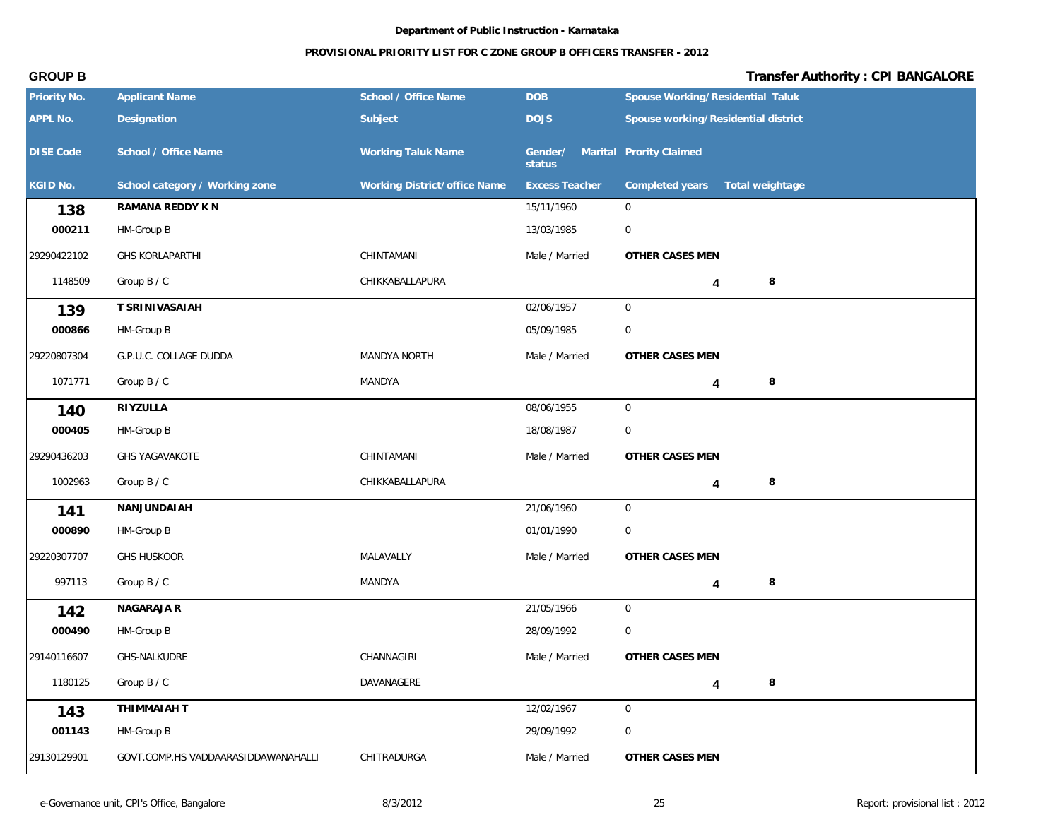## **PROVISIONAL PRIORITY LIST FOR C ZONE GROUP B OFFICERS TRANSFER - 2012**

| Priority No.     | <b>Applicant Name</b>               | School / Office Name         | DOB                   | Spouse Working/Residential Taluk    |
|------------------|-------------------------------------|------------------------------|-----------------------|-------------------------------------|
| APPL No.         | Designation                         | Subject                      | <b>DOJS</b>           | Spouse working/Residential district |
| <b>DISE Code</b> | School / Office Name                | <b>Working Taluk Name</b>    | Gender/<br>status     | Marital Prority Claimed             |
| KGID No.         | School category / Working zone      | Working District/office Name | <b>Excess Teacher</b> | Completed years<br>Total weightage  |
| 138              | RAMANA REDDY K N                    |                              | 15/11/1960            | $\overline{0}$                      |
| 000211           | HM-Group B                          |                              | 13/03/1985            | $\overline{0}$                      |
| 29290422102      | <b>GHS KORLAPARTHI</b>              | CHINTAMANI                   | Male / Married        | OTHER CASES MEN                     |
| 1148509          | Group B / C                         | CHIKKABALLAPURA              |                       | 8<br>4                              |
| 139              | T SRINIVASAIAH                      |                              | 02/06/1957            | $\overline{0}$                      |
| 000866           | HM-Group B                          |                              | 05/09/1985            | $\mathbf 0$                         |
| 29220807304      | G.P.U.C. COLLAGE DUDDA              | MANDYA NORTH                 | Male / Married        | OTHER CASES MEN                     |
| 1071771          | Group B / C                         | MANDYA                       |                       | $\,8\,$<br>4                        |
| 140              | RIYZULLA                            |                              | 08/06/1955            | $\mathbf 0$                         |
| 000405           | HM-Group B                          |                              | 18/08/1987            | $\mathbf 0$                         |
| 29290436203      | <b>GHS YAGAVAKOTE</b>               | CHINTAMANI                   | Male / Married        | OTHER CASES MEN                     |
| 1002963          | Group B / C                         | CHIKKABALLAPURA              |                       | 8<br>4                              |
| 141              | NANJUNDAIAH                         |                              | 21/06/1960            | $\overline{0}$                      |
| 000890           | HM-Group B                          |                              | 01/01/1990            | $\mathbf 0$                         |
| 29220307707      | <b>GHS HUSKOOR</b>                  | MALAVALLY                    | Male / Married        | OTHER CASES MEN                     |
| 997113           | Group B / C                         | MANDYA                       |                       | $\,8\,$<br>4                        |
| 142              | NAGARAJA R                          |                              | 21/05/1966            | $\overline{0}$                      |
| 000490           | HM-Group B                          |                              | 28/09/1992            | $\Omega$                            |
| 29140116607      | GHS-NALKUDRE                        | CHANNAGIRI                   | Male / Married        | OTHER CASES MEN                     |
| 1180125          | Group B / C                         | DAVANAGERE                   |                       | 8<br>$\overline{\mathbf{4}}$        |
| 143              | THIMMAIAH T                         |                              | 12/02/1967            | $\overline{0}$                      |
| 001143           | HM-Group B                          |                              | 29/09/1992            | $\mathbf 0$                         |
| 29130129901      | GOVT.COMP.HS VADDAARASIDDAWANAHALLI | CHITRADURGA                  | Male / Married        | OTHER CASES MEN                     |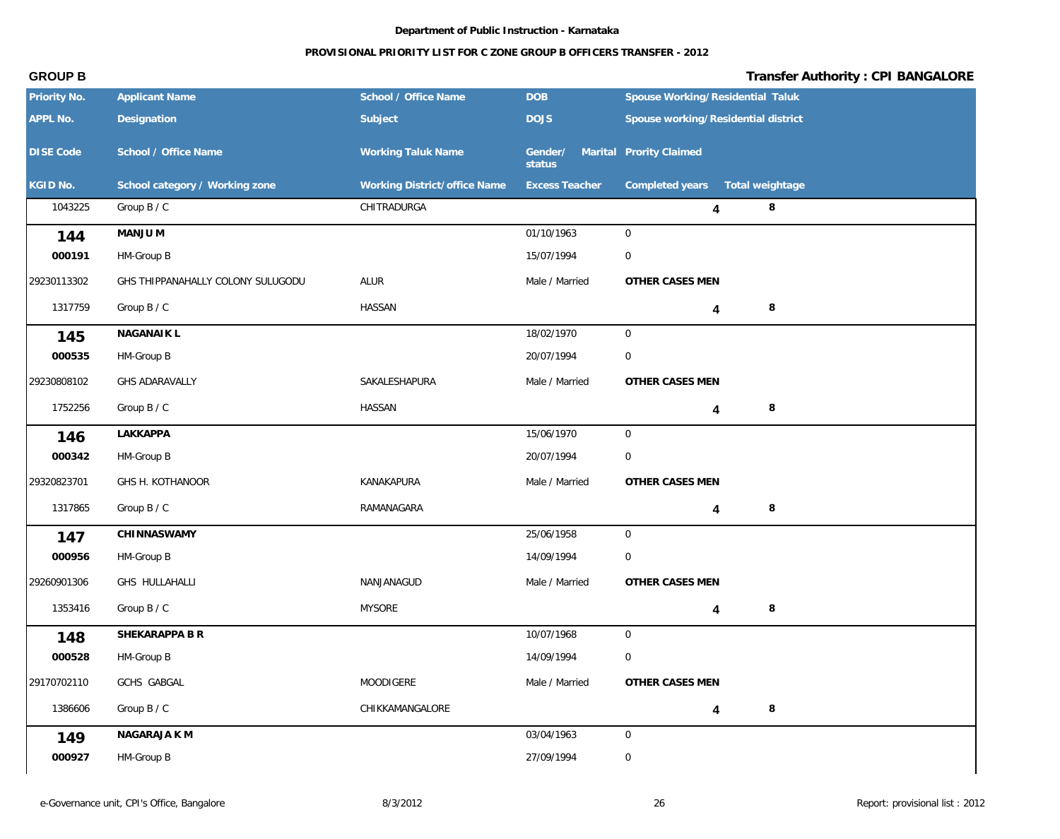### **PROVISIONAL PRIORITY LIST FOR C ZONE GROUP B OFFICERS TRANSFER - 2012**

| Priority No.     | <b>Applicant Name</b>             | School / Office Name         | <b>DOB</b>            | Spouse Working/Residential Taluk    |
|------------------|-----------------------------------|------------------------------|-----------------------|-------------------------------------|
| APPL No.         | Designation                       | Subject                      | <b>DOJS</b>           | Spouse working/Residential district |
| <b>DISE Code</b> | School / Office Name              | <b>Working Taluk Name</b>    | Gender/<br>status     | Marital Prority Claimed             |
| KGID No.         | School category / Working zone    | Working District/office Name | <b>Excess Teacher</b> | Completed years  Total weightage    |
| 1043225          | Group B / C                       | CHITRADURGA                  |                       | $\,8\,$<br>4                        |
| 144              | MANJU M                           |                              | 01/10/1963            | $\overline{0}$                      |
| 000191           | HM-Group B                        |                              | 15/07/1994            | $\mathbf 0$                         |
| 29230113302      | GHS THIPPANAHALLY COLONY SULUGODU | ALUR                         | Male / Married        | OTHER CASES MEN                     |
| 1317759          | Group B / C                       | <b>HASSAN</b>                |                       | 8<br>4                              |
| 145              | NAGANAIK L                        |                              | 18/02/1970            | $\mathsf{O}\xspace$                 |
| 000535           | HM-Group B                        |                              | 20/07/1994            | $\mathbf 0$                         |
| 29230808102      | GHS ADARAVALLY                    | SAKALESHAPURA                | Male / Married        | OTHER CASES MEN                     |
| 1752256          | Group B / C                       | HASSAN                       |                       | $\,8\,$<br>4                        |
| 146              | LAKKAPPA                          |                              | 15/06/1970            | $\mathbf 0$                         |
| 000342           | HM-Group B                        |                              | 20/07/1994            | $\mathbf 0$                         |
| 29320823701      | GHS H. KOTHANOOR                  | KANAKAPURA                   | Male / Married        | OTHER CASES MEN                     |
| 1317865          | Group B / C                       | RAMANAGARA                   |                       | $\,8\,$<br>4                        |
| 147              | CHINNASWAMY                       |                              | 25/06/1958            | $\overline{0}$                      |
| 000956           | HM-Group B                        |                              | 14/09/1994            | $\mathbf 0$                         |
| 29260901306      | GHS HULLAHALLI                    | NANJANAGUD                   | Male / Married        | OTHER CASES MEN                     |
| 1353416          | Group B / C                       | <b>MYSORE</b>                |                       | 8<br>4                              |
| 148              | SHEKARAPPA B R                    |                              | 10/07/1968            | $\overline{0}$                      |
| 000528           | HM-Group B                        |                              | 14/09/1994            | $\boldsymbol{0}$                    |
| 29170702110      | GCHS GABGAL                       | MOODIGERE                    | Male / Married        | OTHER CASES MEN                     |
| 1386606          | Group B / C                       | CHIKKAMANGALORE              |                       | $\,8\,$<br>4                        |
| 149              | NAGARAJA K M                      |                              | 03/04/1963            | $\overline{0}$                      |
| 000927           | HM-Group B                        |                              | 27/09/1994            | $\boldsymbol{0}$                    |